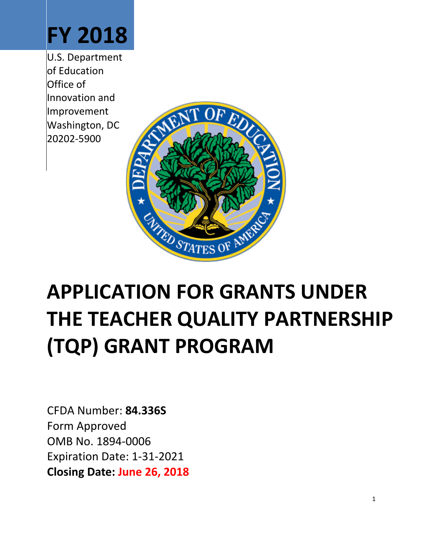

U.S. Department of Education Office of Innovation and Improvement Washington, DC 20202-5900



# **APPLICATION FOR GRANTS UNDER THE TEACHER QUALITY PARTNERSHIP (TQP) GRANT PROGRAM**

CFDA Number: **84.336S** Form Approved OMB No. 1894-0006 Expiration Date: 1-31-2021 **Closing Date: June 26, 2018**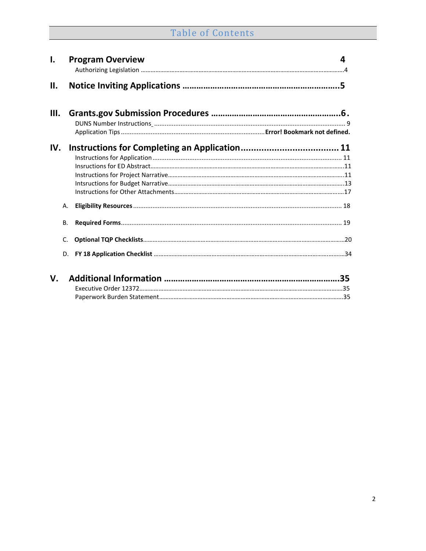# Table of Contents

| $\mathbf{I}$ . |           | <b>Program Overview</b>                                                                                                             | 4 |
|----------------|-----------|-------------------------------------------------------------------------------------------------------------------------------------|---|
| II.            |           |                                                                                                                                     |   |
| Ш.             |           |                                                                                                                                     |   |
|                |           |                                                                                                                                     |   |
| IV.            |           |                                                                                                                                     |   |
|                |           |                                                                                                                                     |   |
|                |           |                                                                                                                                     |   |
|                |           |                                                                                                                                     |   |
|                |           |                                                                                                                                     |   |
|                |           |                                                                                                                                     |   |
|                | Α.        |                                                                                                                                     |   |
|                | <b>B.</b> |                                                                                                                                     |   |
|                | C.        |                                                                                                                                     |   |
|                | D.        |                                                                                                                                     |   |
|                |           | $\mathbf{v}$ and $\mathbf{v}$ and $\mathbf{v}$ and $\mathbf{v}$ and $\mathbf{v}$ and $\mathbf{v}$ and $\mathbf{v}$ and $\mathbf{v}$ |   |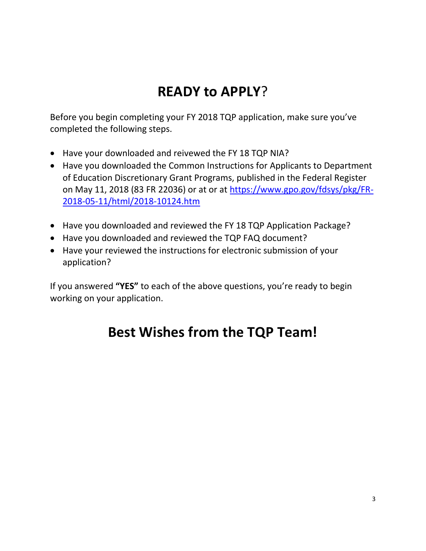# **READY to APPLY**?

Before you begin completing your FY 2018 TQP application, make sure you've completed the following steps.

- Have your downloaded and reivewed the FY 18 TQP NIA?
- Have you downloaded the Common Instructions for Applicants to Department of Education Discretionary Grant Programs, published in the Federal Register on May 11, 2018 (83 FR 22036) or at or at [https://www.gpo.gov/fdsys/pkg/FR-](https://www.gpo.gov/fdsys/pkg/FR-2018-05-11/html/2018-10124.htm)[2018-05-11/html/2018-10124.htm](https://www.gpo.gov/fdsys/pkg/FR-2018-05-11/html/2018-10124.htm)
- Have you downloaded and reviewed the FY 18 TQP Application Package?
- Have you downloaded and reviewed the TQP FAQ document?
- Have your reviewed the instructions for electronic submission of your application?

If you answered **"YES"** to each of the above questions, you're ready to begin working on your application.

# **Best Wishes from the TQP Team!**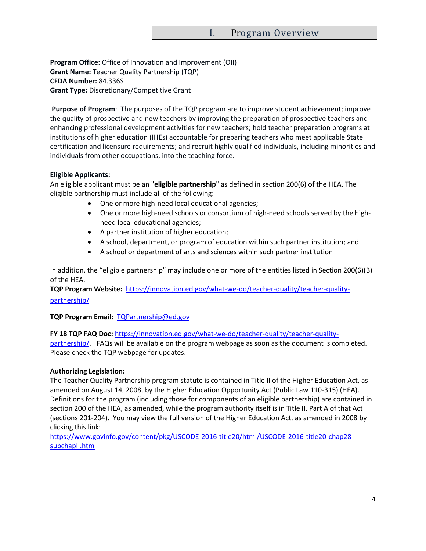#### I. Program Overview

<span id="page-3-0"></span>**Program Office:** Office of Innovation and Improvement (OII) **Grant Name:** Teacher Quality Partnership (TQP) **CFDA Number:** 84.336S **Grant Type:** Discretionary/Competitive Grant

**Purpose of Program**: The purposes of the TQP program are to improve student achievement; improve the quality of prospective and new teachers by improving the preparation of prospective teachers and enhancing professional development activities for new teachers; hold teacher preparation programs at institutions of higher education (IHEs) accountable for preparing teachers who meet applicable State certification and licensure requirements; and recruit highly qualified individuals, including minorities and individuals from other occupations, into the teaching force.

#### **Eligible Applicants:**

<span id="page-3-1"></span>An eligible applicant must be an "**eligible partnership**" as defined in section 200(6) of the HEA. The eligible partnership must include all of the following:

- One or more high-need local educational agencies;
- One or more high-need schools or consortium of high-need schools served by the highneed local educational agencies;
- A partner institution of higher education;
- A school, department, or program of education within such partner institution; and
- A school or department of arts and sciences within such partner institution

In addition, the "eligible partnership" may include one or more of the entities listed in Section 200(6)(B) of the HEA.

**TQP Program Website:** [https://innovation.ed.gov/what-we-do/teacher-quality/teacher-quality](https://innovation.ed.gov/what-we-do/teacher-quality/teacher-quality-partnership/)[partnership/](https://innovation.ed.gov/what-we-do/teacher-quality/teacher-quality-partnership/)

#### **TQP Program Email**: [TQPartnership@ed.gov](mailto:TQPartnership@ed.gov)

**FY 18 TQP FAQ Doc:** [https://innovation.ed.gov/what-we-do/teacher-quality/teacher-quality](https://innovation.ed.gov/what-we-do/teacher-quality/teacher-quality-partnership/)[partnership/.](https://innovation.ed.gov/what-we-do/teacher-quality/teacher-quality-partnership/) FAQs will be available on the program webpage as soon as the document is completed. Please check the TQP webpage for updates.

#### **Authorizing Legislation:**

The Teacher Quality Partnership program statute is contained in Title II of the Higher Education Act, as amended on August 14, 2008, by the Higher Education Opportunity Act (Public Law 110-315) (HEA). Definitions for the program (including those for components of an eligible partnership) are contained in section 200 of the HEA, as amended, while the program authority itself is in Title II, Part A of that Act (sections 201-204). You may view the full version of the Higher Education Act, as amended in 2008 by clicking this link:

[https://www.govinfo.gov/content/pkg/USCODE-2016-title20/html/USCODE-2016-title20-chap28](https://www.govinfo.gov/content/pkg/USCODE-2016-title20/html/USCODE-2016-title20-chap28-subchapII.htm) [subchapII.htm](https://www.govinfo.gov/content/pkg/USCODE-2016-title20/html/USCODE-2016-title20-chap28-subchapII.htm)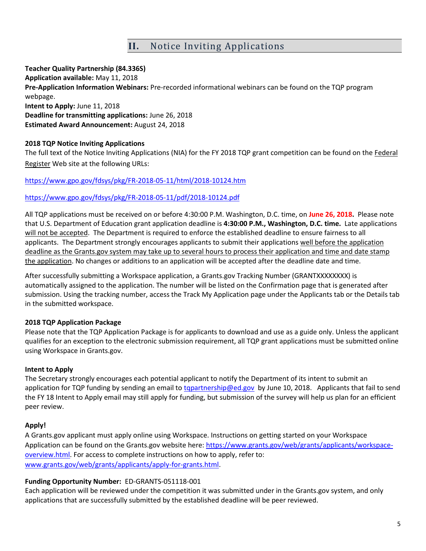## **II.** Notice Inviting Applications

**Teacher Quality Partnership (84.336S) Application available:** May 11, 2018 **Pre-Application Information Webinars:** Pre-recorded informational webinars can be found on the TQP program webpage. **Intent to Apply:** June 11, 2018 **Deadline for transmitting applications:** June 26, 2018 **Estimated Award Announcement:** August 24, 2018

#### **2018 TQP [Notice Inviting Applications](https://www.federalregister.gov/articles/2014/08/18/2014-19426/applications-for-new-awards-preschool-development-grants-development-grants)**

The full text of the Notice Inviting Applications (NIA) for the FY 2018 TQP grant competition can be found on the Federal Register Web site at the following URLs:

<https://www.gpo.gov/fdsys/pkg/FR-2018-05-11/html/2018-10124.htm>

#### <https://www.gpo.gov/fdsys/pkg/FR-2018-05-11/pdf/2018-10124.pdf>

All TQP applications must be received on or before 4:30:00 P.M. Washington, D.C. time, on **June 26, 2018.** Please note that U.S. Department of Education grant application deadline is **4:30:00 P.M., Washington, D.C. time.** Late applications will not be accepted. The Department is required to enforce the established deadline to ensure fairness to all applicants. The Department strongly encourages applicants to submit their applications well before the application deadline as the Grants.gov system may take up to several hours to process their application and time and date stamp the application. No changes or additions to an application will be accepted after the deadline date and time.

After successfully submitting a Workspace application, a Grants.gov Tracking Number (GRANTXXXXXXXX) is automatically assigned to the application. The number will be listed on the Confirmation page that is generated after submission. Using the tracking number, access the Track My Application page under the Applicants tab or the Details tab in the submitted workspace.

#### **[2018](http://www.grants.gov/web/grants/applicants/download-application-package.html?p_p_id=grantsdownloadpackage_WAR_grantsdownloadpackageportlet&p_p_lifecycle=0&p_p_state=normal&p_p_mode=view&p_p_col_id=column-1&p_p_col_pos=1&p_p_col_count=2&_grantsdownloadpackage_WAR_grantsdownloadpackageportlet_mvcPath=%2Fdownload.jsp&id=203626) TQP Application Package**

Please note that the TQP Application Package is for applicants to download and use as a guide only. Unless the applicant qualifies for an exception to the electronic submission requirement, all TQP grant applications must be submitted online using Workspace in Grants.gov.

#### **Intent to Apply**

The Secretary strongly encourages each potential applicant to notify the Department of its intent to submit an application for TQP funding by sending an email to [tqpartnership@ed.gov](mailto:tqpartnership@ed.gov) by June 10, 2018. Applicants that fail to send the FY 18 Intent to Apply email may still apply for funding, but submission of the survey will help us plan for an efficient peer review.

#### **Apply!**

A Grants.gov applicant must apply online using Workspace. Instructions on getting started on your Workspace Application can be found on the Grants.gov website here: [https://www.grants.gov/web/grants/applicants/workspace](https://www.grants.gov/web/grants/applicants/workspace-overview.html)[overview.html.](https://www.grants.gov/web/grants/applicants/workspace-overview.html) For access to complete instructions on how to apply, refer to: [www.grants.gov/web/grants/applicants/apply-for-grants.html.](http://www.grants.gov/web/grants/applicants/apply-for-grants.html)

#### **Funding Opportunity Number:** ED-GRANTS-051118-001

Each application will be reviewed under the competition it was submitted under in the Grants.gov system, and only applications that are successfully submitted by the established deadline will be peer reviewed.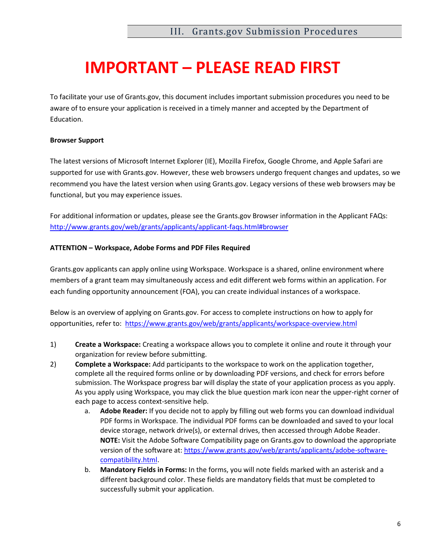# **IMPORTANT – PLEASE READ FIRST**

To facilitate your use of Grants.gov, this document includes important submission procedures you need to be aware of to ensure your application is received in a timely manner and accepted by the Department of Education.

#### **Browser Support**

The latest versions of Microsoft Internet Explorer (IE), Mozilla Firefox, Google Chrome, and Apple Safari are supported for use with Grants.gov. However, these web browsers undergo frequent changes and updates, so we recommend you have the latest version when using Grants.gov. Legacy versions of these web browsers may be functional, but you may experience issues.

For additional information or updates, please see the Grants.gov Browser information in the Applicant FAQs: <http://www.grants.gov/web/grants/applicants/applicant-faqs.html#browser>

#### **ATTENTION – Workspace, Adobe Forms and PDF Files Required**

Grants.gov applicants can apply online using Workspace. Workspace is a shared, online environment where members of a grant team may simultaneously access and edit different web forms within an application. For each funding opportunity announcement (FOA), you can create individual instances of a workspace.

Below is an overview of applying on Grants.gov. For access to complete instructions on how to apply for opportunities, refer to: <https://www.grants.gov/web/grants/applicants/workspace-overview.html>

- 1) **Create a Workspace:** Creating a workspace allows you to complete it online and route it through your organization for review before submitting.
- 2) **Complete a Workspace:** Add participants to the workspace to work on the application together, complete all the required forms online or by downloading PDF versions, and check for errors before submission. The Workspace progress bar will display the state of your application process as you apply. As you apply using Workspace, you may click the blue question mark icon near the upper-right corner of each page to access context-sensitive help.
	- a. **Adobe Reader:** If you decide not to apply by filling out web forms you can download individual PDF forms in Workspace. The individual PDF forms can be downloaded and saved to your local device storage, network drive(s), or external drives, then accessed through Adobe Reader. **NOTE:** Visit the Adobe Software Compatibility page on Grants.gov to download the appropriate version of the software at[: https://www.grants.gov/web/grants/applicants/adobe-software](https://www.grants.gov/web/grants/applicants/adobe-software-compatibility.html)[compatibility.html.](https://www.grants.gov/web/grants/applicants/adobe-software-compatibility.html)
	- b. **Mandatory Fields in Forms:** In the forms, you will note fields marked with an asterisk and a different background color. These fields are mandatory fields that must be completed to successfully submit your application.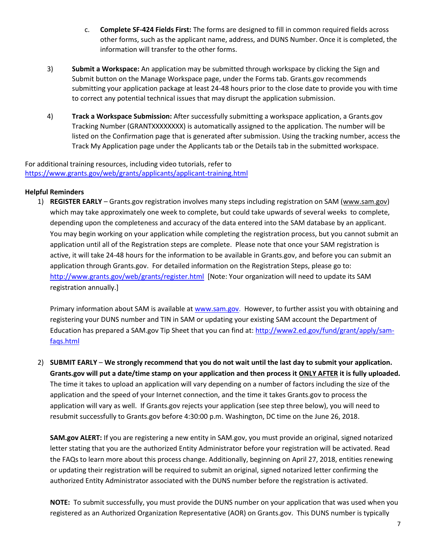- c. **Complete SF-424 Fields First:** The forms are designed to fill in common required fields across other forms, such as the applicant name, address, and DUNS Number. Once it is completed, the information will transfer to the other forms.
- 3) **Submit a Workspace:** An application may be submitted through workspace by clicking the Sign and Submit button on the Manage Workspace page, under the Forms tab. Grants.gov recommends submitting your application package at least 24-48 hours prior to the close date to provide you with time to correct any potential technical issues that may disrupt the application submission.
- 4) **Track a Workspace Submission:** After successfully submitting a workspace application, a Grants.gov Tracking Number (GRANTXXXXXXXX) is automatically assigned to the application. The number will be listed on the Confirmation page that is generated after submission. Using the tracking number, access the Track My Application page under the Applicants tab or the Details tab in the submitted workspace.

For additional training resources, including video tutorials, refer to <https://www.grants.gov/web/grants/applicants/applicant-training.html>

#### **Helpful Reminders**

1) **REGISTER EARLY** – Grants.gov registration involves many steps including registration on SAM [\(www.sam.gov\)](http://www.sam.gov/) which may take approximately one week to complete, but could take upwards of several weeks to complete, depending upon the completeness and accuracy of the data entered into the SAM database by an applicant. You may begin working on your application while completing the registration process, but you cannot submit an application until all of the Registration steps are complete. Please note that once your SAM registration is active, it will take 24-48 hours for the information to be available in Grants.gov, and before you can submit an application through Grants.gov. For detailed information on the Registration Steps, please go to: <http://www.grants.gov/web/grants/register.html>[Note: Your organization will need to update its SAM registration annually.]

Primary information about SAM is available at [www.sam.gov.](http://www.sam.gov/) However, to further assist you with obtaining and registering your DUNS number and TIN in SAM or updating your existing SAM account the Department of Education has prepared a SAM.gov Tip Sheet that you can find at: [http://www2.ed.gov/fund/grant/apply/sam](http://www2.ed.gov/fund/grant/apply/sam-faqs.html)[faqs.html](http://www2.ed.gov/fund/grant/apply/sam-faqs.html)

2) **SUBMIT EARLY** – **We strongly recommend that you do not wait until the last day to submit your application. Grants.gov will put a date/time stamp on your application and then process it ONLY AFTER it is fully uploaded.** The time it takes to upload an application will vary depending on a number of factors including the size of the application and the speed of your Internet connection, and the time it takes Grants.gov to process the application will vary as well. If Grants.gov rejects your application (see step three below), you will need to resubmit successfully to Grants.gov before 4:30:00 p.m. Washington, DC time on the June 26, 2018.

**SAM.gov ALERT:** If you are registering a new entity in SAM.gov, you must provide an original, signed notarized letter stating that you are the authorized Entity Administrator before your registration will be activated. Read the FAQs to learn more about this process change. Additionally, beginning on April 27, 2018, entities renewing or updating their registration will be required to submit an original, signed notarized letter confirming the authorized Entity Administrator associated with the DUNS number before the registration is activated.

**NOTE:** To submit successfully, you must provide the DUNS number on your application that was used when you registered as an Authorized Organization Representative (AOR) on Grants.gov. This DUNS number is typically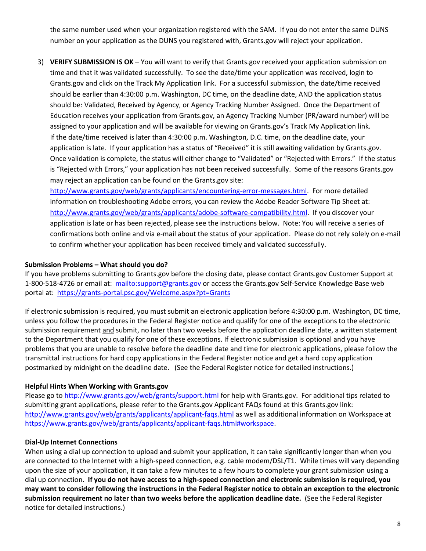the same number used when your organization registered with the SAM. If you do not enter the same DUNS number on your application as the DUNS you registered with, Grants.gov will reject your application.

3) **VERIFY SUBMISSION IS OK** – You will want to verify that Grants.gov received your application submission on time and that it was validated successfully. To see the date/time your application was received, login to Grants.gov and click on the Track My Application link. For a successful submission, the date/time received should be earlier than 4:30:00 p.m. Washington, DC time, on the deadline date, AND the application status should be: Validated, Received by Agency, or Agency Tracking Number Assigned. Once the Department of Education receives your application from Grants.gov, an Agency Tracking Number (PR/award number) will be assigned to your application and will be available for viewing on Grants.gov's Track My Application link. If the date/time received is later than 4:30:00 p.m. Washington, D.C. time, on the deadline date, your application is late. If your application has a status of "Received" it is still awaiting validation by Grants.gov. Once validation is complete, the status will either change to "Validated" or "Rejected with Errors." If the status is "Rejected with Errors," your application has not been received successfully. Some of the reasons Grants.gov may reject an application can be found on the Grants.gov site:

[http://www.grants.gov/web/grants/applicants/encountering-error-messages.html.](http://www.grants.gov/web/grants/applicants/encountering-error-messages.html) For more detailed information on troubleshooting Adobe errors, you can review the Adobe Reader Software Tip Sheet at: [http://www.grants.gov/web/grants/applicants/adobe-software-compatibility.html.](http://www.grants.gov/web/grants/applicants/adobe-software-compatibility.html) If you discover your application is late or has been rejected, please see the instructions below. Note: You will receive a series of confirmations both online and via e-mail about the status of your application. Please do not rely solely on e-mail to confirm whether your application has been received timely and validated successfully.

#### **Submission Problems – What should you do?**

If you have problems submitting to Grants.gov before the closing date, please contact Grants.gov Customer Support at 1-800-518-4726 or email at: <mailto:support@grants.gov> or access the Grants.gov Self-Service Knowledge Base web portal at: <https://grants-portal.psc.gov/Welcome.aspx?pt=Grants>

If electronic submission is required, you must submit an electronic application before 4:30:00 p.m. Washington, DC time, unless you follow the procedures in the Federal Register notice and qualify for one of the exceptions to the electronic submission requirement and submit, no later than two weeks before the application deadline date, a written statement to the Department that you qualify for one of these exceptions. If electronic submission is optional and you have problems that you are unable to resolve before the deadline date and time for electronic applications, please follow the transmittal instructions for hard copy applications in the Federal Register notice and get a hard copy application postmarked by midnight on the deadline date. (See the Federal Register notice for detailed instructions.)

#### **Helpful Hints When Working with Grants.gov**

Please go t[o http://www.grants.gov/web/grants/support.html](http://www.grants.gov/web/grants/support.html) for help with Grants.gov. For additional tips related to submitting grant applications, please refer to the Grants.gov Applicant FAQs found at this Grants.gov link: <http://www.grants.gov/web/grants/applicants/applicant-faqs.html> as well as additional information on Workspace at [https://www.grants.gov/web/grants/applicants/applicant-faqs.html#workspace.](https://www.grants.gov/web/grants/applicants/applicant-faqs.html#workspace)

#### **Dial-Up Internet Connections**

When using a dial up connection to upload and submit your application, it can take significantly longer than when you are connected to the Internet with a high-speed connection, e.g. cable modem/DSL/T1. While times will vary depending upon the size of your application, it can take a few minutes to a few hours to complete your grant submission using a dial up connection. **If you do not have access to a high-speed connection and electronic submission is required, you may want to consider following the instructions in the Federal Register notice to obtain an exception to the electronic submission requirement no later than two weeks before the application deadline date.** (See the Federal Register notice for detailed instructions.)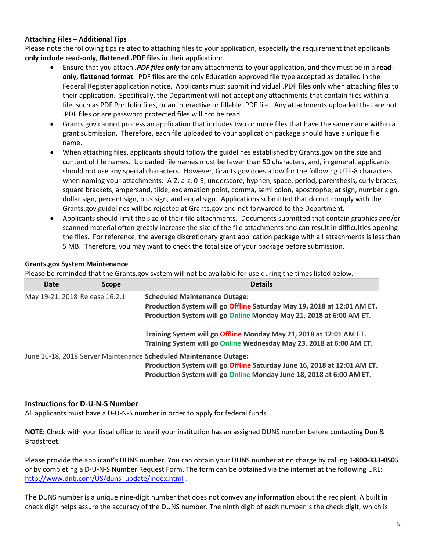#### **Attaching Files – Additional Tips**

Please note the following tips related to attaching files to your application, especially the requirement that applicants **only include read-only, flattened .PDF files** in their application:

- Ensure that you attach *.PDF files only* for any attachments to your application, and they must be in a **readonly, flattened format**. PDF files are the only Education approved file type accepted as detailed in the Federal Register application notice. Applicants must submit individual .PDF files only when attaching files to their application. Specifically, the Department will not accept any attachments that contain files within a file, such as PDF Portfolio files, or an interactive or fillable .PDF file. Any attachments uploaded that are not .PDF files or are password protected files will not be read.
- Grants.gov cannot process an application that includes two or more files that have the same name within a grant submission. Therefore, each file uploaded to your application package should have a unique file name.
- When attaching files, applicants should follow the guidelines established by Grants.gov on the size and content of file names. Uploaded file names must be fewer than 50 characters, and, in general, applicants should not use any special characters. However, Grants.gov does allow for the following UTF-8 characters when naming your attachments: A-Z, a-z, 0-9, underscore, hyphen, space, period, parenthesis, curly braces, square brackets, ampersand, tilde, exclamation point, comma, semi colon, apostrophe, at sign, number sign, dollar sign, percent sign, plus sign, and equal sign. Applications submitted that do not comply with the Grants.gov guidelines will be rejected at Grants.gov and not forwarded to the Department.
- Applicants should limit the size of their file attachments. Documents submitted that contain graphics and/or scanned material often greatly increase the size of the file attachments and can result in difficulties opening the files. For reference, the average discretionary grant application package with all attachments is less than 5 MB. Therefore, you may want to check the total size of your package before submission.

#### **Grants.gov System Maintenance**

Please be reminded that the Grants.gov system will not be available for use during the times listed below.

| Date                           | <b>Scope</b> | <b>Details</b>                                                                                                                                                                                                                                                |
|--------------------------------|--------------|---------------------------------------------------------------------------------------------------------------------------------------------------------------------------------------------------------------------------------------------------------------|
| May 19-21, 2018 Release 16.2.1 |              | <b>Scheduled Maintenance Outage:</b><br>Production System will go Offline Saturday May 19, 2018 at 12:01 AM ET.<br>Production System will go Online Monday May 21, 2018 at 6:00 AM ET.<br>Training System will go Offline Monday May 21, 2018 at 12:01 AM ET. |
|                                |              | Training System will go Online Wednesday May 23, 2018 at 6:00 AM ET.<br>June 16-18, 2018 Server Maintenance Scheduled Maintenance Outage:                                                                                                                     |
|                                |              | Production System will go Offline Saturday June 16, 2018 at 12:01 AM ET.<br>Production System will go Online Monday June 18, 2018 at 6:00 AM ET.                                                                                                              |

#### **Instructions for D-U-N-S Number**

All applicants must have a D-U-N-S number in order to apply for federal funds.

**NOTE:** Check with your fiscal office to see if your institution has an assigned DUNS number before contacting Dun & Bradstreet.

Please provide the applicant's DUNS number. You can obtain your DUNS number at no charge by calling **1-800-333-0505** or by completing a D-U-N-S Number Request Form. The form can be obtained via the internet at the following URL: [http://www.dnb.com/US/duns\\_update/index.html](http://www.dnb.com/US/duns_update/index.html) .

The DUNS number is a unique nine-digit number that does not convey any information about the recipient. A built in check digit helps assure the accuracy of the DUNS number. The ninth digit of each number is the check digit, which is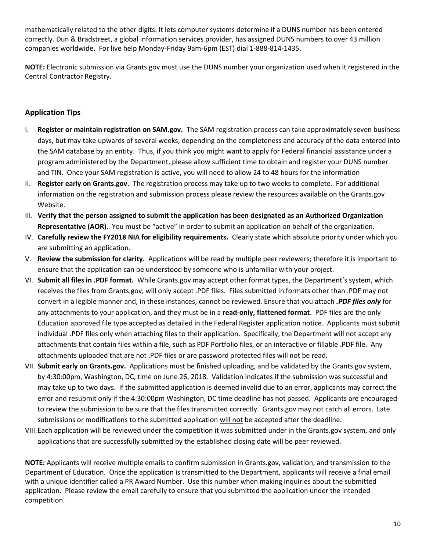mathematically related to the other digits. It lets computer systems determine if a DUNS number has been entered correctly. Dun & Bradstreet, a global information services provider, has assigned DUNS numbers to over 43 million companies worldwide. For live help Monday-Friday 9am-6pm (EST) dial 1-888-814-1435.

**NOTE:** Electronic submission via Grants.gov must use the DUNS number your organization used when it registered in the Central Contractor Registry.

#### **Application Tips**

- I. **Register or maintain registration on SAM.gov.** The SAM registration process can take approximately seven business days, but may take upwards of several weeks, depending on the completeness and accuracy of the data entered into the SAM database by an entity. Thus, if you think you might want to apply for Federal financial assistance under a program administered by the Department, please allow sufficient time to obtain and register your DUNS number and TIN. Once your SAM registration is active, you will need to allow 24 to 48 hours for the information
- II. **Register early on Grants.gov.** The registration process may take up to two weeks to complete. For additional information on the registration and submission process please review the resources available on the Grants.gov Website.
- III. **Verify that the person assigned to submit the application has been designated as an Authorized Organization Representative (AOR)**. You must be "active" in order to submit an application on behalf of the organization.
- IV. **Carefully review the FY2018 NIA for eligibility requirements.** Clearly state which absolute priority under which you are submitting an application.
- V. **Review the submission for clarity.** Applications will be read by multiple peer reviewers; therefore it is important to ensure that the application can be understood by someone who is unfamiliar with your project.
- VI. **Submit all files in .PDF format.** While Grants.gov may accept other format types, the Department's system, which receives the files from Grants.gov, will only accept .PDF files. Files submitted in formats other than .PDF may not convert in a legible manner and, in these instances, cannot be reviewed. Ensure that you attach *.PDF files only* for any attachments to your application, and they must be in a **read-only, flattened format**. PDF files are the only Education approved file type accepted as detailed in the Federal Register application notice. Applicants must submit individual .PDF files only when attaching files to their application. Specifically, the Department will not accept any attachments that contain files within a file, such as PDF Portfolio files, or an interactive or fillable .PDF file. Any attachments uploaded that are not .PDF files or are password protected files will not be read.
- VII. **Submit early on Grants.gov.** Applications must be finished uploading, and be validated by the Grants.gov system, by 4:30:00pm, Washington, DC, time on June 26, 2018. Validation indicates if the submission was successful and may take up to two days. If the submitted application is deemed invalid due to an error, applicants may correct the error and resubmit only if the 4:30:00pm Washington, DC time deadline has not passed. Applicants are encouraged to review the submission to be sure that the files transmitted correctly. Grants.gov may not catch all errors. Late submissions or modifications to the submitted application will not be accepted after the deadline.
- VIII.Each application will be reviewed under the competition it was submitted under in the Grants.gov system, and only applications that are successfully submitted by the established closing date will be peer reviewed.

**NOTE:** Applicants will receive multiple emails to confirm submission in Grants.gov, validation, and transmission to the Department of Education. Once the application is transmitted to the Department, applicants will receive a final email with a unique identifier called a PR Award Number. Use this number when making inquiries about the submitted application. Please review the email carefully to ensure that you submitted the application under the intended competition.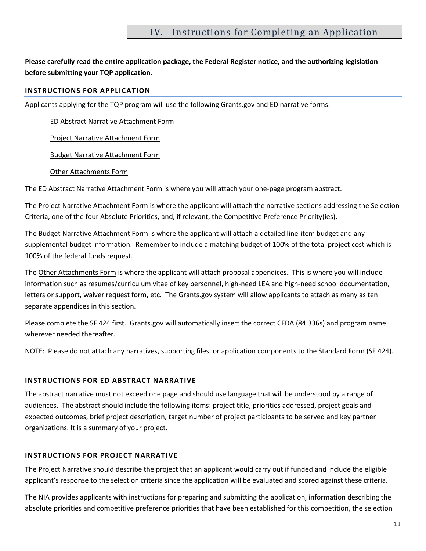### IV. Instructions for Completing an Application

#### **Please carefully read the entire application package, the Federal Register notice, and the authorizing legislation before submitting your TQP application.**

#### **INSTRUCTIONS FOR APPLICATION**

Applicants applying for the TQP program will use the following Grants.gov and ED narrative forms:

ED Abstract Narrative Attachment Form

Project Narrative Attachment Form

Budget Narrative Attachment Form

Other Attachments Form

The ED Abstract Narrative Attachment Form is where you will attach your one-page program abstract.

The Project Narrative Attachment Form is where the applicant will attach the narrative sections addressing the Selection Criteria, one of the four Absolute Priorities, and, if relevant, the Competitive Preference Priority(ies).

The Budget Narrative Attachment Form is where the applicant will attach a detailed line-item budget and any supplemental budget information. Remember to include a matching budget of 100% of the total project cost which is 100% of the federal funds request.

The Other Attachments Form is where the applicant will attach proposal appendices. This is where you will include information such as resumes/curriculum vitae of key personnel, high-need LEA and high-need school documentation, letters or support, waiver request form, etc. The Grants.gov system will allow applicants to attach as many as ten separate appendices in this section.

Please complete the SF 424 first. Grants.gov will automatically insert the correct CFDA (84.336s) and program name wherever needed thereafter.

NOTE: Please do not attach any narratives, supporting files, or application components to the Standard Form (SF 424).

#### **INSTRUCTIONS FOR ED ABSTRACT NARRATIVE**

The abstract narrative must not exceed one page and should use language that will be understood by a range of audiences. The abstract should include the following items: project title, priorities addressed, project goals and expected outcomes, brief project description, target number of project participants to be served and key partner organizations. It is a summary of your project.

#### **INSTRUCTIONS FOR PROJECT NARRATIVE**

The Project Narrative should describe the project that an applicant would carry out if funded and include the eligible applicant's response to the selection criteria since the application will be evaluated and scored against these criteria.

The NIA provides applicants with instructions for preparing and submitting the application, information describing the absolute priorities and competitive preference priorities that have been established for this competition, the selection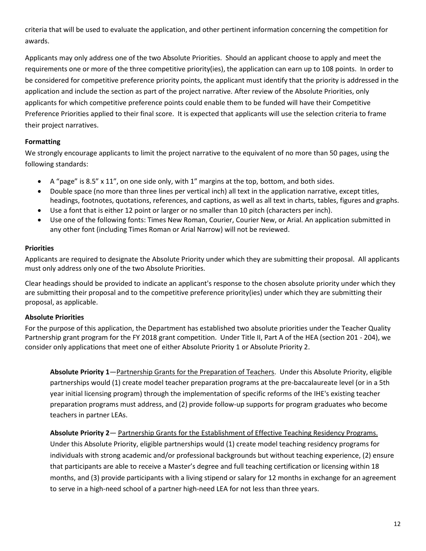criteria that will be used to evaluate the application, and other pertinent information concerning the competition for awards.

Applicants may only address one of the two Absolute Priorities. Should an applicant choose to apply and meet the requirements one or more of the three competitive priority(ies), the application can earn up to 108 points. In order to be considered for competitive preference priority points, the applicant must identify that the priority is addressed in the application and include the section as part of the project narrative. After review of the Absolute Priorities, only applicants for which competitive preference points could enable them to be funded will have their Competitive Preference Priorities applied to their final score. It is expected that applicants will use the selection criteria to frame their project narratives.

#### **Formatting**

We strongly encourage applicants to limit the project narrative to the equivalent of no more than 50 pages, using the following standards:

- $\bullet$  A "page" is 8.5" x 11", on one side only, with 1" margins at the top, bottom, and both sides.
- Double space (no more than three lines per vertical inch) all text in the application narrative, except titles, headings, footnotes, quotations, references, and captions, as well as all text in charts, tables, figures and graphs.
- Use a font that is either 12 point or larger or no smaller than 10 pitch (characters per inch).
- Use one of the following fonts: Times New Roman, Courier, Courier New, or Arial. An application submitted in any other font (including Times Roman or Arial Narrow) will not be reviewed.

#### **Priorities**

Applicants are required to designate the Absolute Priority under which they are submitting their proposal. All applicants must only address only one of the two Absolute Priorities.

Clear headings should be provided to indicate an applicant's response to the chosen absolute priority under which they are submitting their proposal and to the competitive preference priority(ies) under which they are submitting their proposal, as applicable.

#### **Absolute Priorities**

For the purpose of this application, the Department has established two absolute priorities under the Teacher Quality Partnership grant program for the FY 2018 grant competition. Under Title II, Part A of the HEA (section 201 - 204), we consider only applications that meet one of either Absolute Priority 1 or Absolute Priority 2.

**Absolute Priority 1**—Partnership Grants for the Preparation of Teachers. Under this Absolute Priority, eligible partnerships would (1) create model teacher preparation programs at the pre-baccalaureate level (or in a 5th year initial licensing program) through the implementation of specific reforms of the IHE's existing teacher preparation programs must address, and (2) provide follow-up supports for program graduates who become teachers in partner LEAs.

#### **Absolute Priority 2**— Partnership Grants for the Establishment of Effective Teaching Residency Programs.

Under this Absolute Priority, eligible partnerships would (1) create model teaching residency programs for individuals with strong academic and/or professional backgrounds but without teaching experience, (2) ensure that participants are able to receive a Master's degree and full teaching certification or licensing within 18 months, and (3) provide participants with a living stipend or salary for 12 months in exchange for an agreement to serve in a high-need school of a partner high-need LEA for not less than three years.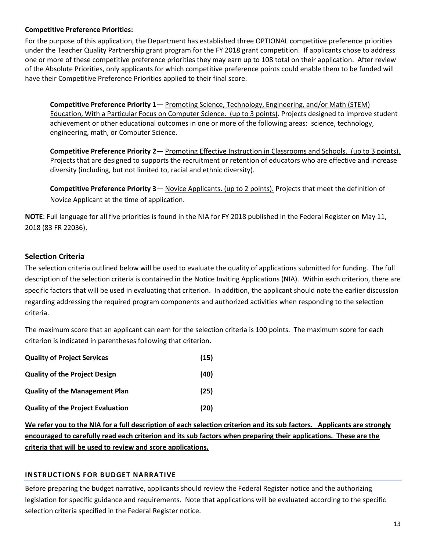#### **Competitive Preference Priorities:**

For the purpose of this application, the Department has established three OPTIONAL competitive preference priorities under the Teacher Quality Partnership grant program for the FY 2018 grant competition. If applicants chose to address one or more of these competitive preference priorities they may earn up to 108 total on their application. After review of the Absolute Priorities, only applicants for which competitive preference points could enable them to be funded will have their Competitive Preference Priorities applied to their final score.

**Competitive Preference Priority 1**— Promoting Science, Technology, Engineering, and/or Math (STEM) Education, With a Particular Focus on Computer Science. (up to 3 points). Projects designed to improve student achievement or other educational outcomes in one or more of the following areas: science, technology, engineering, math, or Computer Science.

**Competitive Preference Priority 2**— Promoting Effective Instruction in Classrooms and Schools. (up to 3 points). Projects that are designed to supports the recruitment or retention of educators who are effective and increase diversity (including, but not limited to, racial and ethnic diversity).

**Competitive Preference Priority 3**— Novice Applicants. (up to 2 points). Projects that meet the definition of Novice Applicant at the time of application.

**NOTE**: Full language for all five priorities is found in the NIA for FY 2018 published in the Federal Register on May 11, 2018 (83 FR 22036).

#### **Selection Criteria**

The selection criteria outlined below will be used to evaluate the quality of applications submitted for funding. The full description of the selection criteria is contained in the Notice Inviting Applications (NIA). Within each criterion, there are specific factors that will be used in evaluating that criterion. In addition, the applicant should note the earlier discussion regarding addressing the required program components and authorized activities when responding to the selection criteria.

The maximum score that an applicant can earn for the selection criteria is 100 points. The maximum score for each criterion is indicated in parentheses following that criterion.

| <b>Quality of Project Services</b>       | (15) |
|------------------------------------------|------|
| <b>Quality of the Project Design</b>     | (40) |
| <b>Quality of the Management Plan</b>    | (25) |
| <b>Quality of the Project Evaluation</b> | (20) |

**We refer you to the NIA for a full description of each selection criterion and its sub factors. Applicants are strongly encouraged to carefully read each criterion and its sub factors when preparing their applications. These are the criteria that will be used to review and score applications.** 

#### **INSTRUCTIONS FOR BUDGET NARRATIVE**

Before preparing the budget narrative, applicants should review the Federal Register notice and the authorizing legislation for specific guidance and requirements. Note that applications will be evaluated according to the specific selection criteria specified in the Federal Register notice.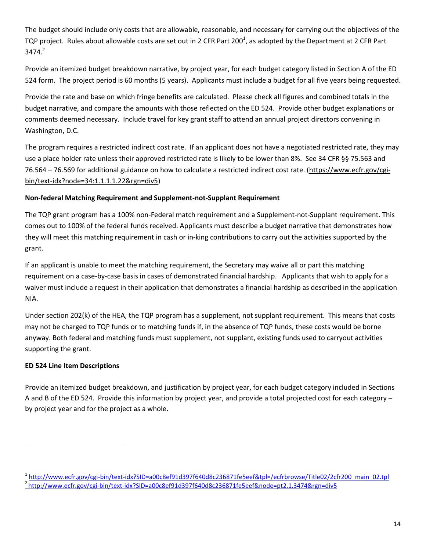The budget should include only costs that are allowable, reasonable, and necessary for carrying out the objectives of the TQP project. Rules about allowable costs are set out in 2 CFR Part 200<sup>1</sup>, as adopted by the Department at 2 CFR Part  $3474<sup>2</sup>$ 

Provide an itemized budget breakdown narrative, by project year, for each budget category listed in Section A of the ED 524 form. The project period is 60 months (5 years). Applicants must include a budget for all five years being requested.

Provide the rate and base on which fringe benefits are calculated. Please check all figures and combined totals in the budget narrative, and compare the amounts with those reflected on the ED 524. Provide other budget explanations or comments deemed necessary. Include travel for key grant staff to attend an annual project directors convening in Washington, D.C.

The program requires a restricted indirect cost rate. If an applicant does not have a negotiated restricted rate, they may use a place holder rate unless their approved restricted rate is likely to be lower than 8%. See 34 CFR §§ 75.563 and 76.564 – 76.569 for additional guidance on how to calculate a restricted indirect cost rate. [\(https://www.ecfr.gov/cgi](https://www.ecfr.gov/cgi-bin/text-idx?node=34:1.1.1.1.22&rgn=div5)[bin/text-idx?node=34:1.1.1.1.22&rgn=div5\)](https://www.ecfr.gov/cgi-bin/text-idx?node=34:1.1.1.1.22&rgn=div5)

#### **Non-federal Matching Requirement and Supplement-not-Supplant Requirement**

The TQP grant program has a 100% non-Federal match requirement and a Supplement-not-Supplant requirement. This comes out to 100% of the federal funds received. Applicants must describe a budget narrative that demonstrates how they will meet this matching requirement in cash or in-king contributions to carry out the activities supported by the grant.

If an applicant is unable to meet the matching requirement, the Secretary may waive all or part this matching requirement on a case-by-case basis in cases of demonstrated financial hardship. Applicants that wish to apply for a waiver must include a request in their application that demonstrates a financial hardship as described in the application NIA.

Under section 202(k) of the HEA, the TQP program has a supplement, not supplant requirement. This means that costs may not be charged to TQP funds or to matching funds if, in the absence of TQP funds, these costs would be borne anyway. Both federal and matching funds must supplement, not supplant, existing funds used to carryout activities supporting the grant.

#### **ED 524 Line Item Descriptions**

 $\overline{a}$ 

Provide an itemized budget breakdown, and justification by project year, for each budget category included in Sections A and B of the ED 524. Provide this information by project year, and provide a total projected cost for each category – by project year and for the project as a whole.

<sup>&</sup>lt;sup>1</sup>[http://www.ecfr.gov/cgi-bin/text-idx?SID=a00c8ef91d397f640d8c236871fe5eef&tpl=/ecfrbrowse/Title02/2cfr200\\_main\\_02.tpl](http://www.ecfr.gov/cgi-bin/text-idx?SID=a00c8ef91d397f640d8c236871fe5eef&tpl=/ecfrbrowse/Title02/2cfr200_main_02.tpl) 2 <http://www.ecfr.gov/cgi-bin/text-idx?SID=a00c8ef91d397f640d8c236871fe5eef&node=pt2.1.3474&rgn=div5>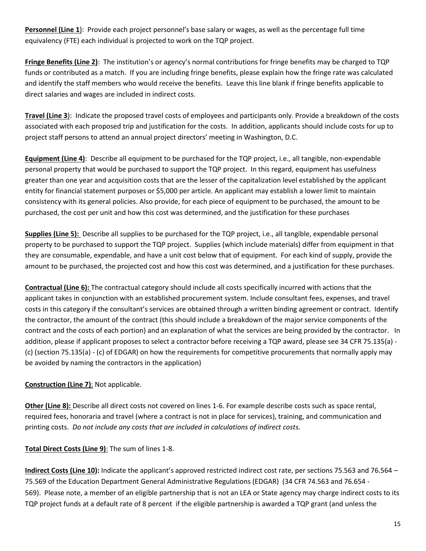**Personnel (Line 1**): Provide each project personnel's base salary or wages, as well as the percentage full time equivalency (FTE) each individual is projected to work on the TQP project.

**Fringe Benefits (Line 2)**: The institution's or agency's normal contributions for fringe benefits may be charged to TQP funds or contributed as a match. If you are including fringe benefits, please explain how the fringe rate was calculated and identify the staff members who would receive the benefits. Leave this line blank if fringe benefits applicable to direct salaries and wages are included in indirect costs.

**Travel (Line 3**): Indicate the proposed travel costs of employees and participants only. Provide a breakdown of the costs associated with each proposed trip and justification for the costs. In addition, applicants should include costs for up to project staff persons to attend an annual project directors' meeting in Washington, D.C.

**Equipment (Line 4)**: Describe all equipment to be purchased for the TQP project, i.e., all tangible, non-expendable personal property that would be purchased to support the TQP project. In this regard, equipment has usefulness greater than one year and acquisition costs that are the lesser of the capitalization level established by the applicant entity for financial statement purposes or \$5,000 per article. An applicant may establish a lower limit to maintain consistency with its general policies. Also provide, for each piece of equipment to be purchased, the amount to be purchased, the cost per unit and how this cost was determined, and the justification for these purchases

**Supplies (Line 5):** Describe all supplies to be purchased for the TQP project, i.e., all tangible, expendable personal property to be purchased to support the TQP project. Supplies (which include materials) differ from equipment in that they are consumable, expendable, and have a unit cost below that of equipment. For each kind of supply, provide the amount to be purchased, the projected cost and how this cost was determined, and a justification for these purchases.

**Contractual (Line 6):** The contractual category should include all costs specifically incurred with actions that the applicant takes in conjunction with an established procurement system. Include consultant fees, expenses, and travel costs in this category if the consultant's services are obtained through a written binding agreement or contract. Identify the contractor, the amount of the contract (this should include a breakdown of the major service components of the contract and the costs of each portion) and an explanation of what the services are being provided by the contractor. In addition, please if applicant proposes to select a contractor before receiving a TQP award, please see 34 CFR 75.135(a) - (c) (section 75.135(a) - (c) of EDGAR) on how the requirements for competitive procurements that normally apply may be avoided by naming the contractors in the application)

#### **Construction (Line 7)**: Not applicable.

**Other (Line 8):** Describe all direct costs not covered on lines 1-6. For example describe costs such as space rental, required fees, honoraria and travel (where a contract is not in place for services), training, and communication and printing costs. *Do not include any costs that are included in calculations of indirect costs.* 

**Total Direct Costs (Line 9)**: The sum of lines 1-8.

**Indirect Costs (Line 10):** Indicate the applicant's approved restricted indirect cost rate, per sections 75.563 and 76.564 – 75.569 of the Education Department General Administrative Regulations (EDGAR) (34 CFR 74.563 and 76.654 - 569). Please note, a member of an eligible partnership that is not an LEA or State agency may charge indirect costs to its TQP project funds at a default rate of 8 percent if the eligible partnership is awarded a TQP grant (and unless the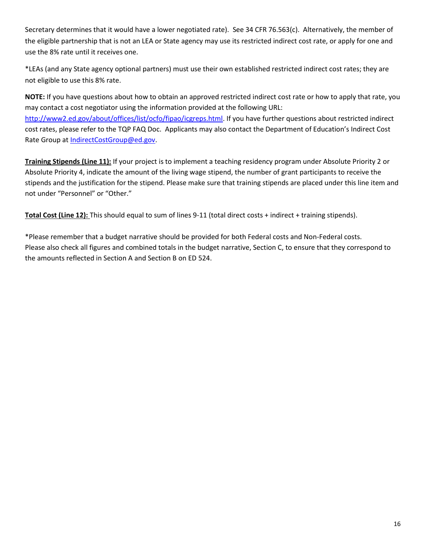Secretary determines that it would have a lower negotiated rate). See 34 CFR 76.563(c). Alternatively, the member of the eligible partnership that is not an LEA or State agency may use its restricted indirect cost rate, or apply for one and use the 8% rate until it receives one.

\*LEAs (and any State agency optional partners) must use their own established restricted indirect cost rates; they are not eligible to use this 8% rate.

**NOTE:** If you have questions about how to obtain an approved restricted indirect cost rate or how to apply that rate, you may contact a cost negotiator using the information provided at the following URL: [http://www2.ed.gov/about/offices/list/ocfo/fipao/icgreps.html.](http://www2.ed.gov/about/offices/list/ocfo/fipao/icgreps.html) If you have further questions about restricted indirect cost rates, please refer to the TQP FAQ Doc. Applicants may also contact the Department of Education's Indirect Cost Rate Group at [IndirectCostGroup@ed.gov.](mailto:IndirectCostGroup@ed.gov)

**Training Stipends (Line 11):** If your project is to implement a teaching residency program under Absolute Priority 2 or Absolute Priority 4, indicate the amount of the living wage stipend, the number of grant participants to receive the stipends and the justification for the stipend. Please make sure that training stipends are placed under this line item and not under "Personnel" or "Other."

**Total Cost (Line 12):** This should equal to sum of lines 9-11 (total direct costs + indirect + training stipends).

\*Please remember that a budget narrative should be provided for both Federal costs and Non-Federal costs. Please also check all figures and combined totals in the budget narrative, Section C, to ensure that they correspond to the amounts reflected in Section A and Section B on ED 524.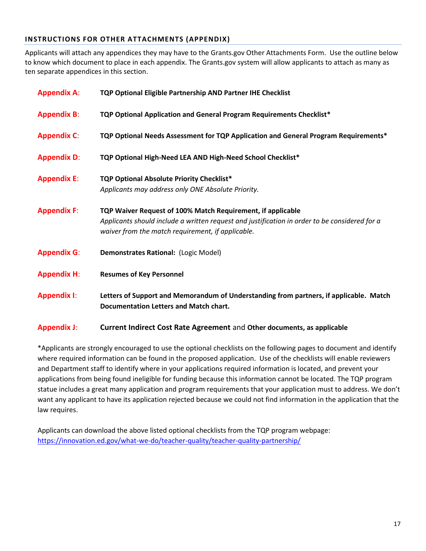#### **INSTRUCTIONS FOR OTHER ATTACHMENTS (APPENDIX)**

Applicants will attach any appendices they may have to the Grants.gov Other Attachments Form. Use the outline below to know which document to place in each appendix. The Grants.gov system will allow applicants to attach as many as ten separate appendices in this section.

| <b>Appendix A:</b> | TQP Optional Eligible Partnership AND Partner IHE Checklist                                                                                        |
|--------------------|----------------------------------------------------------------------------------------------------------------------------------------------------|
| <b>Appendix B:</b> | TQP Optional Application and General Program Requirements Checklist*                                                                               |
| <b>Appendix C:</b> | TQP Optional Needs Assessment for TQP Application and General Program Requirements*                                                                |
| <b>Appendix D:</b> | TQP Optional High-Need LEA AND High-Need School Checklist*                                                                                         |
| <b>Appendix E:</b> | TQP Optional Absolute Priority Checklist*                                                                                                          |
|                    | Applicants may address only ONE Absolute Priority.                                                                                                 |
| <b>Appendix F:</b> | TQP Waiver Request of 100% Match Requirement, if applicable                                                                                        |
|                    | Applicants should include a written request and justification in order to be considered for a<br>waiver from the match requirement, if applicable. |
| <b>Appendix G:</b> | Demonstrates Rational: (Logic Model)                                                                                                               |
| <b>Appendix H:</b> | <b>Resumes of Key Personnel</b>                                                                                                                    |
| <b>Appendix I:</b> | Letters of Support and Memorandum of Understanding from partners, if applicable. Match<br><b>Documentation Letters and Match chart.</b>            |
|                    |                                                                                                                                                    |

#### **Appendix J**: **Current Indirect Cost Rate Agreement** and **Other documents, as applicable**

\*Applicants are strongly encouraged to use the optional checklists on the following pages to document and identify where required information can be found in the proposed application. Use of the checklists will enable reviewers and Department staff to identify where in your applications required information is located, and prevent your applications from being found ineligible for funding because this information cannot be located. The TQP program statue includes a great many application and program requirements that your application must to address. We don't want any applicant to have its application rejected because we could not find information in the application that the law requires.

Applicants can download the above listed optional checklists from the TQP program webpage: <https://innovation.ed.gov/what-we-do/teacher-quality/teacher-quality-partnership/>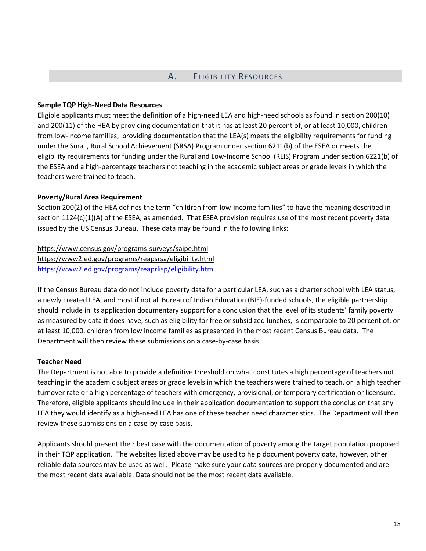#### A. ELIGIBILITY RESOURCES

#### **Sample TQP High-Need Data Resources**

Eligible applicants must meet the definition of a high-need LEA and high-need schools as found in section 200(10) and 200(11) of the HEA by providing documentation that it has at least 20 percent of, or at least 10,000, children from low-income families, providing documentation that the LEA(s) meets the eligibility requirements for funding under the Small, Rural School Achievement (SRSA) Program under section 6211(b) of the ESEA or meets the eligibility requirements for funding under the Rural and Low-Income School (RLIS) Program under section 6221(b) of the ESEA and a high-percentage teachers not teaching in the academic subject areas or grade levels in which the teachers were trained to teach.

#### **Poverty/Rural Area Requirement**

Section 200(2) of the HEA defines the term "children from low-income families" to have the meaning described in section 1124(c)(1)(A) of the ESEA, as amended. That ESEA provision requires use of the most recent poverty data issued by the US Census Bureau. These data may be found in the following links:

# https://www.census.gov/programs-surveys/saipe.html

https://www2.ed.gov/programs/reapsrsa/eligibility.html <https://www2.ed.gov/programs/reaprlisp/eligibility.html>

If the Census Bureau data do not include poverty data for a particular LEA, such as a charter school with LEA status, a newly created LEA, and most if not all Bureau of Indian Education (BIE)-funded schools, the eligible partnership should include in its application documentary support for a conclusion that the level of its students' family poverty as measured by data it does have, such as eligibility for free or subsidized lunches, is comparable to 20 percent of, or at least 10,000, children from low income families as presented in the most recent Census Bureau data. The Department will then review these submissions on a case-by-case basis.

#### **Teacher Need**

The Department is not able to provide a definitive threshold on what constitutes a high percentage of teachers not teaching in the academic subject areas or grade levels in which the teachers were trained to teach, or a high teacher turnover rate or a high percentage of teachers with emergency, provisional, or temporary certification or licensure. Therefore, eligible applicants should include in their application documentation to support the conclusion that any LEA they would identify as a high-need LEA has one of these teacher need characteristics. The Department will then review these submissions on a case-by-case basis.

Applicants should present their best case with the documentation of poverty among the target population proposed in their TQP application. The websites listed above may be used to help document poverty data, however, other reliable data sources may be used as well. Please make sure your data sources are properly documented and are the most recent data available. Data should not be the most recent data available.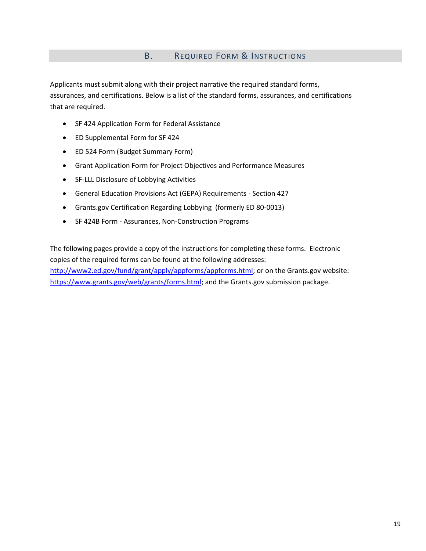#### B. REQUIRED FORM & INSTRUCTIONS

Applicants must submit along with their project narrative the required standard forms, assurances, and certifications. Below is a list of the standard forms, assurances, and certifications that are required.

- SF 424 Application Form for Federal Assistance
- ED Supplemental Form for SF 424
- ED 524 Form (Budget Summary Form)
- Grant Application Form for Project Objectives and Performance Measures
- SF-LLL Disclosure of Lobbying Activities
- General Education Provisions Act (GEPA) Requirements Section 427
- Grants.gov Certification Regarding Lobbying (formerly ED 80-0013)
- SF 424B Form Assurances, Non-Construction Programs

The following pages provide a copy of the instructions for completing these forms. Electronic copies of the required forms can be found at the following addresses:

[http://www2.ed.gov/fund/grant/apply/appforms/appforms.html;](http://www2.ed.gov/fund/grant/apply/appforms/appforms.html) or on the Grants.gov website: [https://www.grants.gov/web/grants/forms.html;](https://www.grants.gov/web/grants/forms.html) and the Grants.gov submission package.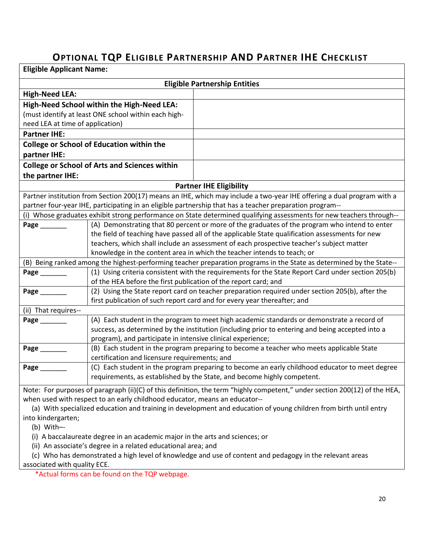# **OPTIONAL TQP ELIGIBLE PARTNERSHIP AND PARTNER IHE CHECKLIST**

| <b>Eligible Applicant Name:</b>                                                                                   |                                                                              |                                                                                                                            |
|-------------------------------------------------------------------------------------------------------------------|------------------------------------------------------------------------------|----------------------------------------------------------------------------------------------------------------------------|
|                                                                                                                   |                                                                              | <b>Eligible Partnership Entities</b>                                                                                       |
| <b>High-Need LEA:</b>                                                                                             |                                                                              |                                                                                                                            |
|                                                                                                                   | High-Need School within the High-Need LEA:                                   |                                                                                                                            |
|                                                                                                                   | (must identify at least ONE school within each high-                         |                                                                                                                            |
| need LEA at time of application)                                                                                  |                                                                              |                                                                                                                            |
| <b>Partner IHE:</b>                                                                                               |                                                                              |                                                                                                                            |
|                                                                                                                   | <b>College or School of Education within the</b>                             |                                                                                                                            |
| partner IHE:                                                                                                      |                                                                              |                                                                                                                            |
|                                                                                                                   | <b>College or School of Arts and Sciences within</b>                         |                                                                                                                            |
| the partner IHE:                                                                                                  |                                                                              |                                                                                                                            |
|                                                                                                                   |                                                                              | <b>Partner IHE Eligibility</b>                                                                                             |
|                                                                                                                   |                                                                              | Partner institution from Section 200(17) means an IHE, which may include a two-year IHE offering a dual program with a     |
|                                                                                                                   |                                                                              | partner four-year IHE, participating in an eligible partnership that has a teacher preparation program--                   |
|                                                                                                                   |                                                                              | (i) Whose graduates exhibit strong performance on State determined qualifying assessments for new teachers through--       |
| Page ________                                                                                                     |                                                                              | (A) Demonstrating that 80 percent or more of the graduates of the program who intend to enter                              |
|                                                                                                                   |                                                                              | the field of teaching have passed all of the applicable State qualification assessments for new                            |
|                                                                                                                   |                                                                              | teachers, which shall include an assessment of each prospective teacher's subject matter                                   |
|                                                                                                                   |                                                                              | knowledge in the content area in which the teacher intends to teach; or                                                    |
|                                                                                                                   |                                                                              | (B) Being ranked among the highest-performing teacher preparation programs in the State as determined by the State--       |
| Page ________                                                                                                     | of the HEA before the first publication of the report card; and              | (1) Using criteria consistent with the requirements for the State Report Card under section 205(b)                         |
| Page ______                                                                                                       |                                                                              | (2) Using the State report card on teacher preparation required under section 205(b), after the                            |
|                                                                                                                   |                                                                              | first publication of such report card and for every year thereafter; and                                                   |
| (ii) That requires--                                                                                              |                                                                              |                                                                                                                            |
| Page ________                                                                                                     |                                                                              | (A) Each student in the program to meet high academic standards or demonstrate a record of                                 |
|                                                                                                                   |                                                                              | success, as determined by the institution (including prior to entering and being accepted into a                           |
|                                                                                                                   | program), and participate in intensive clinical experience;                  |                                                                                                                            |
| Page ________                                                                                                     |                                                                              | (B) Each student in the program preparing to become a teacher who meets applicable State                                   |
|                                                                                                                   | certification and licensure requirements; and                                |                                                                                                                            |
| Page                                                                                                              |                                                                              | (C) Each student in the program preparing to become an early childhood educator to meet degree                             |
|                                                                                                                   |                                                                              | requirements, as established by the State, and become highly competent.                                                    |
|                                                                                                                   |                                                                              | Note: For purposes of paragraph (ii)(C) of this definition, the term "highly competent," under section 200(12) of the HEA, |
| when used with respect to an early childhood educator, means an educator--                                        |                                                                              |                                                                                                                            |
| (a) With specialized education and training in development and education of young children from birth until entry |                                                                              |                                                                                                                            |
| into kindergarten;                                                                                                |                                                                              |                                                                                                                            |
| (b) With--                                                                                                        |                                                                              |                                                                                                                            |
|                                                                                                                   | (i) A baccalaureate degree in an academic major in the arts and sciences; or |                                                                                                                            |

(ii) An associate's degree in a related educational area; and

 (c) Who has demonstrated a high level of knowledge and use of content and pedagogy in the relevant areas associated with quality ECE.

\*Actual forms can be found on the TQP webpage.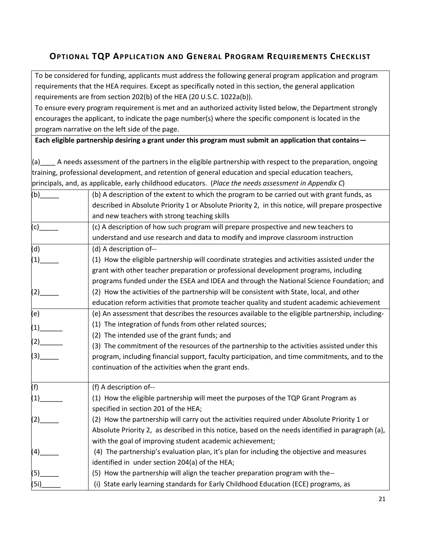### **OPTIONAL TQP APPLICATION AND GENERAL PROGRAM REQUIREMENTS CHECKLIST**

To be considered for funding, applicants must address the following general program application and program requirements that the HEA requires. Except as specifically noted in this section, the general application requirements are from section 202(b) of the HEA (20 U.S.C. 1022a(b)).

To ensure every program requirement is met and an authorized activity listed below, the Department strongly encourages the applicant, to indicate the page number(s) where the specific component is located in the program narrative on the left side of the page.

**Each eligible partnership desiring a grant under this program must submit an application that contains—**

 $(a)$  A needs assessment of the partners in the eligible partnership with respect to the preparation, ongoing training, professional development, and retention of general education and special education teachers, principals, and, as applicable, early childhood educators. (*Place the needs assessment in Appendix C*)

| (b)  | (b) A description of the extent to which the program to be carried out with grant funds, as       |
|------|---------------------------------------------------------------------------------------------------|
|      | described in Absolute Priority 1 or Absolute Priority 2, in this notice, will prepare prospective |
|      | and new teachers with strong teaching skills                                                      |
| (c)  | (c) A description of how such program will prepare prospective and new teachers to                |
|      | understand and use research and data to modify and improve classroom instruction                  |
| (d)  | (d) A description of--                                                                            |
| (1)  | (1) How the eligible partnership will coordinate strategies and activities assisted under the     |
|      | grant with other teacher preparation or professional development programs, including              |
|      | programs funded under the ESEA and IDEA and through the National Science Foundation; and          |
| (2)  | (2) How the activities of the partnership will be consistent with State, local, and other         |
|      | education reform activities that promote teacher quality and student academic achievement         |
| (e)  | (e) An assessment that describes the resources available to the eligible partnership, including-  |
| (1)  | (1) The integration of funds from other related sources;                                          |
|      | (2) The intended use of the grant funds; and                                                      |
| (2)  | (3) The commitment of the resources of the partnership to the activities assisted under this      |
| (3)  | program, including financial support, faculty participation, and time commitments, and to the     |
|      | continuation of the activities when the grant ends.                                               |
| (f)  | (f) A description of--                                                                            |
| (1)  | (1) How the eligible partnership will meet the purposes of the TQP Grant Program as               |
|      | specified in section 201 of the HEA;                                                              |
| (2)  | (2) How the partnership will carry out the activities required under Absolute Priority 1 or       |
|      | Absolute Priority 2, as described in this notice, based on the needs identified in paragraph (a), |
|      | with the goal of improving student academic achievement;                                          |
| (4)  | (4) The partnership's evaluation plan, it's plan for including the objective and measures         |
|      | identified in under section 204(a) of the HEA;                                                    |
| (5)  | (5) How the partnership will align the teacher preparation program with the--                     |
| (5i) | (i) State early learning standards for Early Childhood Education (ECE) programs, as               |
|      |                                                                                                   |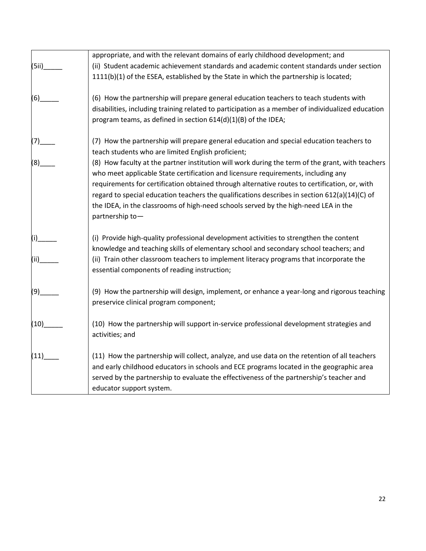|       | appropriate, and with the relevant domains of early childhood development; and                                                                                                                                                                                                                                                                                                                                                                                                                      |
|-------|-----------------------------------------------------------------------------------------------------------------------------------------------------------------------------------------------------------------------------------------------------------------------------------------------------------------------------------------------------------------------------------------------------------------------------------------------------------------------------------------------------|
| (5ii) | (ii) Student academic achievement standards and academic content standards under section                                                                                                                                                                                                                                                                                                                                                                                                            |
|       | 1111(b)(1) of the ESEA, established by the State in which the partnership is located;                                                                                                                                                                                                                                                                                                                                                                                                               |
| (6)   | (6) How the partnership will prepare general education teachers to teach students with                                                                                                                                                                                                                                                                                                                                                                                                              |
|       | disabilities, including training related to participation as a member of individualized education<br>program teams, as defined in section 614(d)(1)(B) of the IDEA;                                                                                                                                                                                                                                                                                                                                 |
| (7)   | (7) How the partnership will prepare general education and special education teachers to<br>teach students who are limited English proficient;                                                                                                                                                                                                                                                                                                                                                      |
| (8)   | (8) How faculty at the partner institution will work during the term of the grant, with teachers<br>who meet applicable State certification and licensure requirements, including any<br>requirements for certification obtained through alternative routes to certification, or, with<br>regard to special education teachers the qualifications describes in section $612(a)(14)(C)$ of<br>the IDEA, in the classrooms of high-need schools served by the high-need LEA in the<br>partnership to- |
| (i)   | (i) Provide high-quality professional development activities to strengthen the content<br>knowledge and teaching skills of elementary school and secondary school teachers; and                                                                                                                                                                                                                                                                                                                     |
| (ii)  | (ii) Train other classroom teachers to implement literacy programs that incorporate the<br>essential components of reading instruction;                                                                                                                                                                                                                                                                                                                                                             |
| (9)   | (9) How the partnership will design, implement, or enhance a year-long and rigorous teaching<br>preservice clinical program component;                                                                                                                                                                                                                                                                                                                                                              |
| (10)  | (10) How the partnership will support in-service professional development strategies and<br>activities; and                                                                                                                                                                                                                                                                                                                                                                                         |
| (11)  | (11) How the partnership will collect, analyze, and use data on the retention of all teachers<br>and early childhood educators in schools and ECE programs located in the geographic area<br>served by the partnership to evaluate the effectiveness of the partnership's teacher and<br>educator support system.                                                                                                                                                                                   |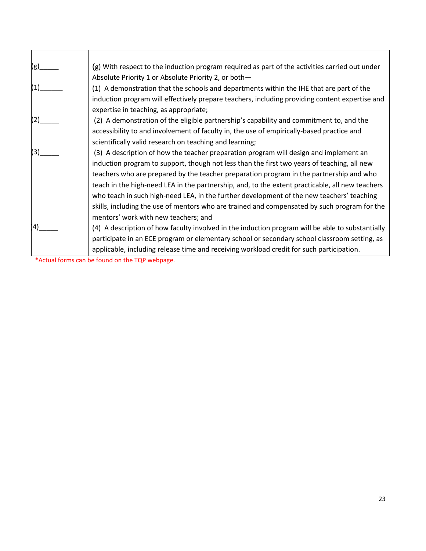| $(g)$ _ | $(g)$ With respect to the induction program required as part of the activities carried out under |
|---------|--------------------------------------------------------------------------------------------------|
|         | Absolute Priority 1 or Absolute Priority 2, or both-                                             |
| (1)     | (1) A demonstration that the schools and departments within the IHE that are part of the         |
|         | induction program will effectively prepare teachers, including providing content expertise and   |
|         | expertise in teaching, as appropriate;                                                           |
| (2)     | (2) A demonstration of the eligible partnership's capability and commitment to, and the          |
|         | accessibility to and involvement of faculty in, the use of empirically-based practice and        |
|         | scientifically valid research on teaching and learning;                                          |
| (3)     | (3) A description of how the teacher preparation program will design and implement an            |
|         | induction program to support, though not less than the first two years of teaching, all new      |
|         | teachers who are prepared by the teacher preparation program in the partnership and who          |
|         | teach in the high-need LEA in the partnership, and, to the extent practicable, all new teachers  |
|         | who teach in such high-need LEA, in the further development of the new teachers' teaching        |
|         | skills, including the use of mentors who are trained and compensated by such program for the     |
|         | mentors' work with new teachers; and                                                             |
| 4       | (4) A description of how faculty involved in the induction program will be able to substantially |
|         | participate in an ECE program or elementary school or secondary school classroom setting, as     |
|         | applicable, including release time and receiving workload credit for such participation.         |

\*Actual forms can be found on the TQP webpage.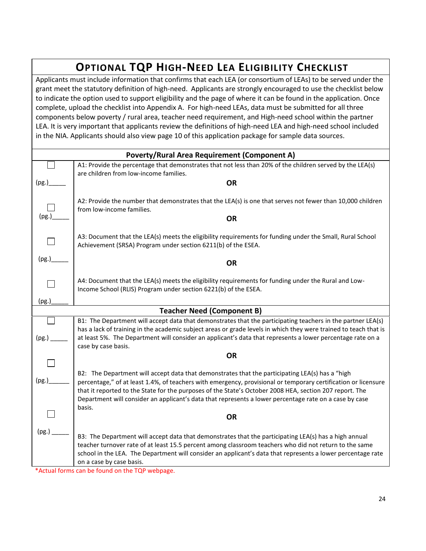# **OPTIONAL TQP HIGH-NEED LEA ELIGIBILITY CHECKLIST**

Applicants must include information that confirms that each LEA (or consortium of LEAs) to be served under the grant meet the statutory definition of high-need. Applicants are strongly encouraged to use the checklist below to indicate the option used to support eligibility and the page of where it can be found in the application. Once complete, upload the checklist into Appendix A. For high-need LEAs, data must be submitted for all three components below poverty / rural area, teacher need requirement, and High-need school within the partner LEA. It is very important that applicants review the definitions of high-need LEA and high-need school included in the NIA. Applicants should also view page 10 of this application package for sample data sources.

| <b>Poverty/Rural Area Requirement (Component A)</b> |                                                                                                                                                                                                                                                   |  |
|-----------------------------------------------------|---------------------------------------------------------------------------------------------------------------------------------------------------------------------------------------------------------------------------------------------------|--|
|                                                     | A1: Provide the percentage that demonstrates that not less than 20% of the children served by the LEA(s)<br>are children from low-income families.                                                                                                |  |
| (pg.)                                               | <b>OR</b>                                                                                                                                                                                                                                         |  |
|                                                     |                                                                                                                                                                                                                                                   |  |
|                                                     | A2: Provide the number that demonstrates that the LEA(s) is one that serves not fewer than 10,000 children<br>from low-income families.                                                                                                           |  |
| (pg.)                                               | <b>OR</b>                                                                                                                                                                                                                                         |  |
|                                                     | A3: Document that the LEA(s) meets the eligibility requirements for funding under the Small, Rural School<br>Achievement (SRSA) Program under section 6211(b) of the ESEA.                                                                        |  |
| (pg.)                                               | <b>OR</b>                                                                                                                                                                                                                                         |  |
|                                                     | A4: Document that the LEA(s) meets the eligibility requirements for funding under the Rural and Low-<br>Income School (RLIS) Program under section 6221(b) of the ESEA.                                                                           |  |
| (pg.)                                               |                                                                                                                                                                                                                                                   |  |
|                                                     | <b>Teacher Need (Component B)</b>                                                                                                                                                                                                                 |  |
|                                                     | B1: The Department will accept data that demonstrates that the participating teachers in the partner LEA(s)<br>has a lack of training in the academic subject areas or grade levels in which they were trained to teach that is                   |  |
| (pg.)                                               | at least 5%. The Department will consider an applicant's data that represents a lower percentage rate on a<br>case by case basis.                                                                                                                 |  |
|                                                     | <b>OR</b>                                                                                                                                                                                                                                         |  |
|                                                     |                                                                                                                                                                                                                                                   |  |
| (pg.)                                               | B2: The Department will accept data that demonstrates that the participating LEA(s) has a "high<br>percentage," of at least 1.4%, of teachers with emergency, provisional or temporary certification or licensure                                 |  |
|                                                     | that it reported to the State for the purposes of the State's October 2008 HEA, section 207 report. The                                                                                                                                           |  |
|                                                     | Department will consider an applicant's data that represents a lower percentage rate on a case by case<br>basis.                                                                                                                                  |  |
|                                                     | <b>OR</b>                                                                                                                                                                                                                                         |  |
| (pg.)                                               |                                                                                                                                                                                                                                                   |  |
|                                                     | B3: The Department will accept data that demonstrates that the participating LEA(s) has a high annual                                                                                                                                             |  |
|                                                     | teacher turnover rate of at least 15.5 percent among classroom teachers who did not return to the same<br>school in the LEA. The Department will consider an applicant's data that represents a lower percentage rate<br>on a case by case basis. |  |
| $*$ A $\leftrightarrow$ in Forms                    | can be found on the TOD webpage                                                                                                                                                                                                                   |  |

Actual forms can be found on the TQP webpage.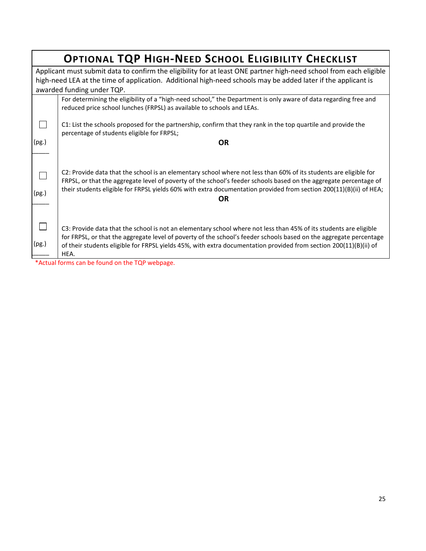|       | OPTIONAL TQP HIGH-NEED SCHOOL ELIGIBILITY CHECKLIST                                                                                                                                                                                                                                                                                                                                                                      |  |  |  |
|-------|--------------------------------------------------------------------------------------------------------------------------------------------------------------------------------------------------------------------------------------------------------------------------------------------------------------------------------------------------------------------------------------------------------------------------|--|--|--|
|       | Applicant must submit data to confirm the eligibility for at least ONE partner high-need school from each eligible                                                                                                                                                                                                                                                                                                       |  |  |  |
|       | high-need LEA at the time of application. Additional high-need schools may be added later if the applicant is                                                                                                                                                                                                                                                                                                            |  |  |  |
|       | awarded funding under TQP.                                                                                                                                                                                                                                                                                                                                                                                               |  |  |  |
|       | For determining the eligibility of a "high-need school," the Department is only aware of data regarding free and<br>reduced price school lunches (FRPSL) as available to schools and LEAs.                                                                                                                                                                                                                               |  |  |  |
|       |                                                                                                                                                                                                                                                                                                                                                                                                                          |  |  |  |
|       | C1: List the schools proposed for the partnership, confirm that they rank in the top quartile and provide the<br>percentage of students eligible for FRPSL;                                                                                                                                                                                                                                                              |  |  |  |
| (pg.) | <b>OR</b>                                                                                                                                                                                                                                                                                                                                                                                                                |  |  |  |
| (pg.) | C2: Provide data that the school is an elementary school where not less than 60% of its students are eligible for<br>FRPSL, or that the aggregate level of poverty of the school's feeder schools based on the aggregate percentage of<br>their students eligible for FRPSL yields 60% with extra documentation provided from section 200(11)(B)(ii) of HEA;<br><b>OR</b>                                                |  |  |  |
| (pg.) | C3: Provide data that the school is not an elementary school where not less than 45% of its students are eligible<br>for FRPSL, or that the aggregate level of poverty of the school's feeder schools based on the aggregate percentage<br>of their students eligible for FRPSL yields 45%, with extra documentation provided from section 200(11)(B)(ii) of<br>HEA.<br>$*$ Actual forms san be found on the TOD webpage |  |  |  |

\*Actual forms can be found on the TQP webpage.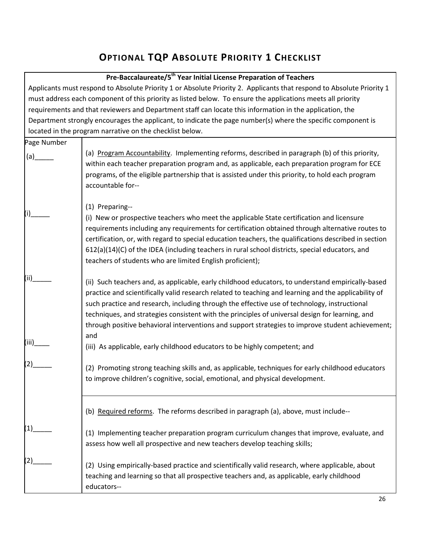# **OPTIONAL TQP ABSOLUTE PRIORITY 1 CHECKLIST**

#### **Pre-Baccalaureate/5th Year Initial License Preparation of Teachers**

Г

|                   | ric-baccalaurcate/J - real lillual License Freparation of reachers                                                                                                                                                                                                                                                                                                                                                                                                                                               |
|-------------------|------------------------------------------------------------------------------------------------------------------------------------------------------------------------------------------------------------------------------------------------------------------------------------------------------------------------------------------------------------------------------------------------------------------------------------------------------------------------------------------------------------------|
|                   | Applicants must respond to Absolute Priority 1 or Absolute Priority 2. Applicants that respond to Absolute Priority 1                                                                                                                                                                                                                                                                                                                                                                                            |
|                   | must address each component of this priority as listed below. To ensure the applications meets all priority                                                                                                                                                                                                                                                                                                                                                                                                      |
|                   | requirements and that reviewers and Department staff can locate this information in the application, the                                                                                                                                                                                                                                                                                                                                                                                                         |
|                   | Department strongly encourages the applicant, to indicate the page number(s) where the specific component is                                                                                                                                                                                                                                                                                                                                                                                                     |
|                   | located in the program narrative on the checklist below.                                                                                                                                                                                                                                                                                                                                                                                                                                                         |
| Page Number       |                                                                                                                                                                                                                                                                                                                                                                                                                                                                                                                  |
| (a)               | (a) Program Accountability. Implementing reforms, described in paragraph (b) of this priority,<br>within each teacher preparation program and, as applicable, each preparation program for ECE<br>programs, of the eligible partnership that is assisted under this priority, to hold each program<br>accountable for--                                                                                                                                                                                          |
| (i)               | (1) Preparing--<br>(i) New or prospective teachers who meet the applicable State certification and licensure<br>requirements including any requirements for certification obtained through alternative routes to<br>certification, or, with regard to special education teachers, the qualifications described in section<br>612(a)(14)(C) of the IDEA (including teachers in rural school districts, special educators, and<br>teachers of students who are limited English proficient);                        |
| (ii)              | (ii) Such teachers and, as applicable, early childhood educators, to understand empirically-based<br>practice and scientifically valid research related to teaching and learning and the applicability of<br>such practice and research, including through the effective use of technology, instructional<br>techniques, and strategies consistent with the principles of universal design for learning, and<br>through positive behavioral interventions and support strategies to improve student achievement; |
| (iii)             | and<br>(iii) As applicable, early childhood educators to be highly competent; and                                                                                                                                                                                                                                                                                                                                                                                                                                |
| (2)               | (2) Promoting strong teaching skills and, as applicable, techniques for early childhood educators<br>to improve children's cognitive, social, emotional, and physical development.                                                                                                                                                                                                                                                                                                                               |
|                   | (b) Required reforms. The reforms described in paragraph (a), above, must include--                                                                                                                                                                                                                                                                                                                                                                                                                              |
| $\left( 1\right)$ | (1) Implementing teacher preparation program curriculum changes that improve, evaluate, and<br>assess how well all prospective and new teachers develop teaching skills;                                                                                                                                                                                                                                                                                                                                         |
|                   | (2) Using empirically-based practice and scientifically valid research, where applicable, about<br>teaching and learning so that all prospective teachers and, as applicable, early childhood<br>educators--                                                                                                                                                                                                                                                                                                     |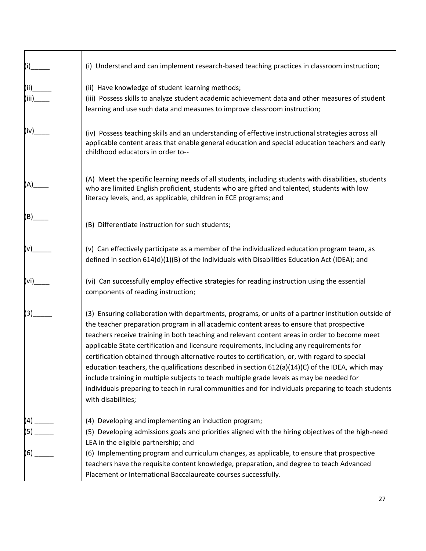| $(i)$ <sub>__</sub> | (i) Understand and can implement research-based teaching practices in classroom instruction;                                                                                                                                                                                                                                                                                                                                                                                                                                                                                                                                                                                                                                                                                                                                  |
|---------------------|-------------------------------------------------------------------------------------------------------------------------------------------------------------------------------------------------------------------------------------------------------------------------------------------------------------------------------------------------------------------------------------------------------------------------------------------------------------------------------------------------------------------------------------------------------------------------------------------------------------------------------------------------------------------------------------------------------------------------------------------------------------------------------------------------------------------------------|
| (iii)<br>(iii)      | (ii) Have knowledge of student learning methods;<br>(iii) Possess skills to analyze student academic achievement data and other measures of student<br>learning and use such data and measures to improve classroom instruction;                                                                                                                                                                                                                                                                                                                                                                                                                                                                                                                                                                                              |
| (iv)                | (iv) Possess teaching skills and an understanding of effective instructional strategies across all<br>applicable content areas that enable general education and special education teachers and early<br>childhood educators in order to--                                                                                                                                                                                                                                                                                                                                                                                                                                                                                                                                                                                    |
| (A)                 | (A) Meet the specific learning needs of all students, including students with disabilities, students<br>who are limited English proficient, students who are gifted and talented, students with low<br>literacy levels, and, as applicable, children in ECE programs; and                                                                                                                                                                                                                                                                                                                                                                                                                                                                                                                                                     |
| (B)                 | (B) Differentiate instruction for such students;                                                                                                                                                                                                                                                                                                                                                                                                                                                                                                                                                                                                                                                                                                                                                                              |
| (v)                 | (v) Can effectively participate as a member of the individualized education program team, as<br>defined in section 614(d)(1)(B) of the Individuals with Disabilities Education Act (IDEA); and                                                                                                                                                                                                                                                                                                                                                                                                                                                                                                                                                                                                                                |
| (vi)                | (vi) Can successfully employ effective strategies for reading instruction using the essential<br>components of reading instruction;                                                                                                                                                                                                                                                                                                                                                                                                                                                                                                                                                                                                                                                                                           |
| (3)                 | (3) Ensuring collaboration with departments, programs, or units of a partner institution outside of<br>the teacher preparation program in all academic content areas to ensure that prospective<br>teachers receive training in both teaching and relevant content areas in order to become meet<br>applicable State certification and licensure requirements, including any requirements for<br>certification obtained through alternative routes to certification, or, with regard to special<br>education teachers, the qualifications described in section 612(a)(14)(C) of the IDEA, which may<br>include training in multiple subjects to teach multiple grade levels as may be needed for<br>individuals preparing to teach in rural communities and for individuals preparing to teach students<br>with disabilities; |
| $(4)$ $\_$          | (4) Developing and implementing an induction program;<br>(5) Developing admissions goals and priorities aligned with the hiring objectives of the high-need                                                                                                                                                                                                                                                                                                                                                                                                                                                                                                                                                                                                                                                                   |
| $(6)$ $-$           | LEA in the eligible partnership; and<br>(6) Implementing program and curriculum changes, as applicable, to ensure that prospective<br>teachers have the requisite content knowledge, preparation, and degree to teach Advanced<br>Placement or International Baccalaureate courses successfully.                                                                                                                                                                                                                                                                                                                                                                                                                                                                                                                              |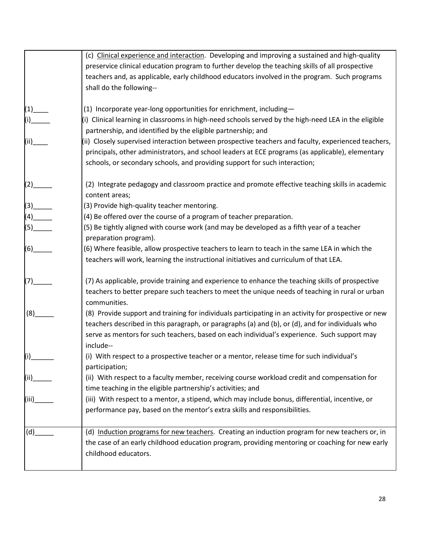|                   | (c) Clinical experience and interaction. Developing and improving a sustained and high-quality       |
|-------------------|------------------------------------------------------------------------------------------------------|
|                   | preservice clinical education program to further develop the teaching skills of all prospective      |
|                   | teachers and, as applicable, early childhood educators involved in the program. Such programs        |
|                   | shall do the following--                                                                             |
|                   |                                                                                                      |
| (1)               | (1) Incorporate year-long opportunities for enrichment, including-                                   |
|                   | (i) Clinical learning in classrooms in high-need schools served by the high-need LEA in the eligible |
|                   | partnership, and identified by the eligible partnership; and                                         |
| (iii)             | (ii) Closely supervised interaction between prospective teachers and faculty, experienced teachers,  |
|                   |                                                                                                      |
|                   | principals, other administrators, and school leaders at ECE programs (as applicable), elementary     |
|                   | schools, or secondary schools, and providing support for such interaction;                           |
|                   | (2) Integrate pedagogy and classroom practice and promote effective teaching skills in academic      |
|                   |                                                                                                      |
|                   | content areas;                                                                                       |
| (3)               | (3) Provide high-quality teacher mentoring.                                                          |
| (4)               | (4) Be offered over the course of a program of teacher preparation.                                  |
|                   | (5) Be tightly aligned with course work (and may be developed as a fifth year of a teacher           |
|                   | preparation program).                                                                                |
| (6)               | (6) Where feasible, allow prospective teachers to learn to teach in the same LEA in which the        |
|                   | teachers will work, learning the instructional initiatives and curriculum of that LEA.               |
|                   |                                                                                                      |
| (7)               | (7) As applicable, provide training and experience to enhance the teaching skills of prospective     |
|                   | teachers to better prepare such teachers to meet the unique needs of teaching in rural or urban      |
|                   | communities.                                                                                         |
|                   |                                                                                                      |
| (8)               | (8) Provide support and training for individuals participating in an activity for prospective or new |
|                   | teachers described in this paragraph, or paragraphs (a) and (b), or (d), and for individuals who     |
|                   | serve as mentors for such teachers, based on each individual's experience. Such support may          |
|                   | include--                                                                                            |
| (i)               | (i) With respect to a prospective teacher or a mentor, release time for such individual's            |
|                   | participation;                                                                                       |
| (ii) <sub>.</sub> | (ii) With respect to a faculty member, receiving course workload credit and compensation for         |
|                   | time teaching in the eligible partnership's activities; and                                          |
| (iii)             | (iii) With respect to a mentor, a stipend, which may include bonus, differential, incentive, or      |
|                   |                                                                                                      |
|                   | performance pay, based on the mentor's extra skills and responsibilities.                            |
| (d)               | (d) Induction programs for new teachers. Creating an induction program for new teachers or, in       |
|                   | the case of an early childhood education program, providing mentoring or coaching for new early      |
|                   | childhood educators.                                                                                 |
|                   |                                                                                                      |
|                   |                                                                                                      |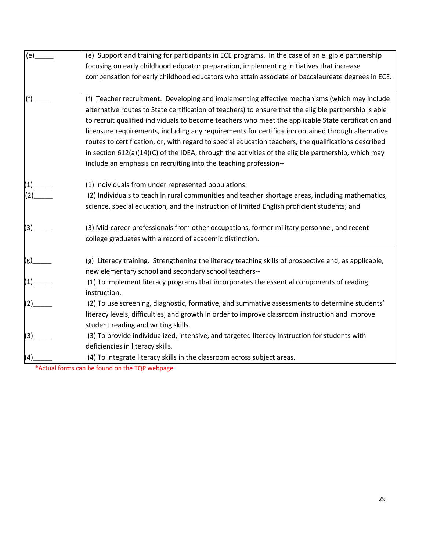| (e) | (e) Support and training for participants in ECE programs. In the case of an eligible partnership      |
|-----|--------------------------------------------------------------------------------------------------------|
|     | focusing on early childhood educator preparation, implementing initiatives that increase               |
|     | compensation for early childhood educators who attain associate or baccalaureate degrees in ECE.       |
|     |                                                                                                        |
| (f) | (f) Teacher recruitment. Developing and implementing effective mechanisms (which may include           |
|     | alternative routes to State certification of teachers) to ensure that the eligible partnership is able |
|     | to recruit qualified individuals to become teachers who meet the applicable State certification and    |
|     | licensure requirements, including any requirements for certification obtained through alternative      |
|     | routes to certification, or, with regard to special education teachers, the qualifications described   |
|     | in section 612(a)(14)(C) of the IDEA, through the activities of the eligible partnership, which may    |
|     | include an emphasis on recruiting into the teaching profession--                                       |
|     | (1) Individuals from under represented populations.                                                    |
|     | (2) Individuals to teach in rural communities and teacher shortage areas, including mathematics,       |
|     | science, special education, and the instruction of limited English proficient students; and            |
|     |                                                                                                        |
| (3) | (3) Mid-career professionals from other occupations, former military personnel, and recent             |
|     | college graduates with a record of academic distinction.                                               |
|     |                                                                                                        |
|     | (g) Literacy training. Strengthening the literacy teaching skills of prospective and, as applicable,   |
|     | new elementary school and secondary school teachers--                                                  |
| (1) | (1) To implement literacy programs that incorporates the essential components of reading               |
|     | instruction.                                                                                           |
| (2) | (2) To use screening, diagnostic, formative, and summative assessments to determine students'          |
|     | literacy levels, difficulties, and growth in order to improve classroom instruction and improve        |
|     | student reading and writing skills.                                                                    |
| (3) | (3) To provide individualized, intensive, and targeted literacy instruction for students with          |
|     | deficiencies in literacy skills.                                                                       |
| (4) | (4) To integrate literacy skills in the classroom across subject areas.                                |

\*Actual forms can be found on the TQP webpage.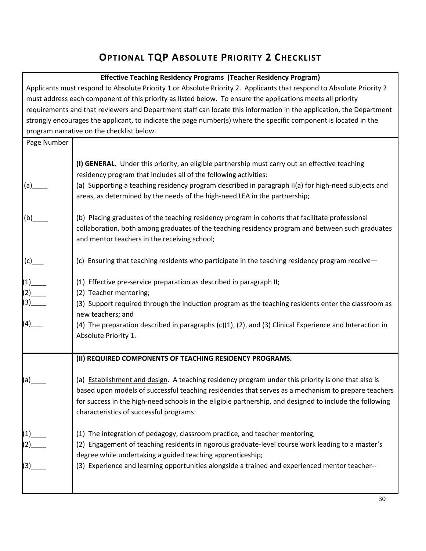# **OPTIONAL TQP ABSOLUTE PRIORITY 2 CHECKLIST**

#### **Effective Teaching Residency Programs (Teacher Residency Program)**

Applicants must respond to Absolute Priority 1 or Absolute Priority 2. Applicants that respond to Absolute Priority 2 must address each component of this priority as listed below. To ensure the applications meets all priority requirements and that reviewers and Department staff can locate this information in the application, the Department strongly encourages the applicant, to indicate the page number(s) where the specific component is located in the program narrative on the checklist below. Page Number  $(a)$  $(b)$  $(c)$  $(1)$  $\left( 2\right)$ (3)\_\_\_\_  $(4)$ \_\_ **(I) GENERAL.** Under this priority, an eligible partnership must carry out an effective teaching residency program that includes all of the following activities: (a) Supporting a teaching residency program described in paragraph II(a) for high-need subjects and areas, as determined by the needs of the high-need LEA in the partnership; (b) Placing graduates of the teaching residency program in cohorts that facilitate professional collaboration, both among graduates of the teaching residency program and between such graduates and mentor teachers in the receiving school; (c) Ensuring that teaching residents who participate in the teaching residency program receive— (1) Effective pre-service preparation as described in paragraph II; (2) Teacher mentoring; (3) Support required through the induction program as the teaching residents enter the classroom as new teachers; and (4) The preparation described in paragraphs (c)(1), (2), and (3) Clinical Experience and Interaction in Absolute Priority 1. (a)\_\_\_\_  $(1)_\_$ (2)\_\_\_\_  $(3)$ **(II) REQUIRED COMPONENTS OF TEACHING RESIDENCY PROGRAMS.** (a) Establishment and design. A teaching residency program under this priority is one that also is based upon models of successful teaching residencies that serves as a mechanism to prepare teachers for success in the high-need schools in the eligible partnership, and designed to include the following characteristics of successful programs: (1) The integration of pedagogy, classroom practice, and teacher mentoring; (2) Engagement of teaching residents in rigorous graduate-level course work leading to a master's degree while undertaking a guided teaching apprenticeship; (3) Experience and learning opportunities alongside a trained and experienced mentor teacher--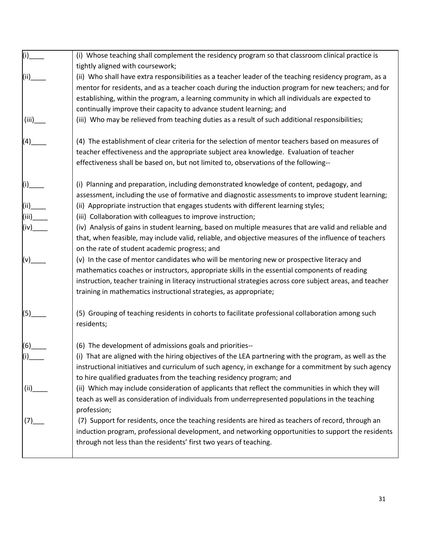|                                   | (i) Whose teaching shall complement the residency program so that classroom clinical practice is               |
|-----------------------------------|----------------------------------------------------------------------------------------------------------------|
|                                   | tightly aligned with coursework;                                                                               |
| (ii)                              | (ii) Who shall have extra responsibilities as a teacher leader of the teaching residency program, as a         |
|                                   | mentor for residents, and as a teacher coach during the induction program for new teachers; and for            |
|                                   | establishing, within the program, a learning community in which all individuals are expected to                |
|                                   | continually improve their capacity to advance student learning; and                                            |
| (iii)                             | (iii) Who may be relieved from teaching duties as a result of such additional responsibilities;                |
| $\begin{pmatrix} 4 \end{pmatrix}$ | (4) The establishment of clear criteria for the selection of mentor teachers based on measures of              |
|                                   | teacher effectiveness and the appropriate subject area knowledge. Evaluation of teacher                        |
|                                   | effectiveness shall be based on, but not limited to, observations of the following--                           |
| (i)___                            | (i) Planning and preparation, including demonstrated knowledge of content, pedagogy, and                       |
|                                   | assessment, including the use of formative and diagnostic assessments to improve student learning;             |
| (iii)                             | (ii) Appropriate instruction that engages students with different learning styles;                             |
| (iii)                             | (iii) Collaboration with colleagues to improve instruction;                                                    |
|                                   | (iv) Analysis of gains in student learning, based on multiple measures that are valid and reliable and         |
|                                   | that, when feasible, may include valid, reliable, and objective measures of the influence of teachers          |
|                                   | on the rate of student academic progress; and                                                                  |
| $(v)$ ____                        | (v) In the case of mentor candidates who will be mentoring new or prospective literacy and                     |
|                                   | mathematics coaches or instructors, appropriate skills in the essential components of reading                  |
|                                   | instruction, teacher training in literacy instructional strategies across core subject areas, and teacher      |
|                                   | training in mathematics instructional strategies, as appropriate;                                              |
|                                   |                                                                                                                |
| $(5)$ <sub>___</sub>              | (5) Grouping of teaching residents in cohorts to facilitate professional collaboration among such              |
|                                   | residents;                                                                                                     |
| (6)                               | (6) The development of admissions goals and priorities--                                                       |
| (i)                               | (i) That are aligned with the hiring objectives of the LEA partnering with the program, as well as the         |
|                                   | instructional initiatives and curriculum of such agency, in exchange for a commitment by such agency           |
|                                   | to hire qualified graduates from the teaching residency program; and                                           |
| (iii)                             | (ii) Which may include consideration of applicants that reflect the communities in which they will             |
|                                   | teach as well as consideration of individuals from underrepresented populations in the teaching<br>profession; |
| (7)                               | (7) Support for residents, once the teaching residents are hired as teachers of record, through an             |
|                                   | induction program, professional development, and networking opportunities to support the residents             |
|                                   | through not less than the residents' first two years of teaching.                                              |
|                                   |                                                                                                                |
|                                   |                                                                                                                |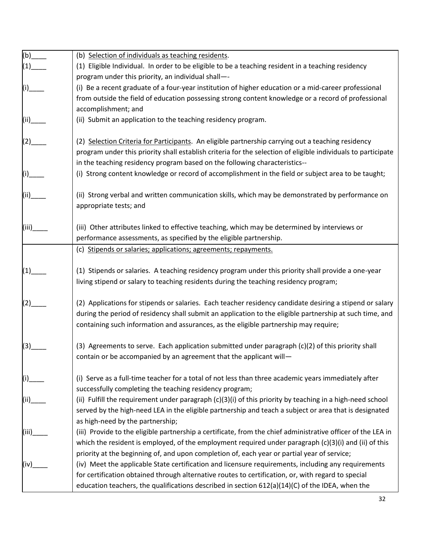| (b)           | (b) Selection of individuals as teaching residents.                                                           |
|---------------|---------------------------------------------------------------------------------------------------------------|
| (1)           | (1) Eligible Individual. In order to be eligible to be a teaching resident in a teaching residency            |
|               | program under this priority, an individual shall--                                                            |
| (i)           | (i) Be a recent graduate of a four-year institution of higher education or a mid-career professional          |
|               | from outside the field of education possessing strong content knowledge or a record of professional           |
|               | accomplishment; and                                                                                           |
| (ii)__        | (ii) Submit an application to the teaching residency program.                                                 |
| $\Big _{(2)}$ | (2) Selection Criteria for Participants. An eligible partnership carrying out a teaching residency            |
|               | program under this priority shall establish criteria for the selection of eligible individuals to participate |
|               | in the teaching residency program based on the following characteristics--                                    |
|               | (i) Strong content knowledge or record of accomplishment in the field or subject area to be taught;           |
|               |                                                                                                               |
| <br>(ii)____  | (ii) Strong verbal and written communication skills, which may be demonstrated by performance on              |
|               | appropriate tests; and                                                                                        |
|               |                                                                                                               |
| (iii)         | (iii) Other attributes linked to effective teaching, which may be determined by interviews or                 |
|               | performance assessments, as specified by the eligible partnership.                                            |
|               | (c) Stipends or salaries; applications; agreements; repayments.                                               |
|               |                                                                                                               |
| (1)           | (1) Stipends or salaries. A teaching residency program under this priority shall provide a one-year           |
|               | living stipend or salary to teaching residents during the teaching residency program;                         |
|               |                                                                                                               |
|               | (2) Applications for stipends or salaries. Each teacher residency candidate desiring a stipend or salary      |
|               | during the period of residency shall submit an application to the eligible partnership at such time, and      |
|               | containing such information and assurances, as the eligible partnership may require;                          |
|               |                                                                                                               |
| (3)           | (3) Agreements to serve. Each application submitted under paragraph (c)(2) of this priority shall             |
|               | contain or be accompanied by an agreement that the applicant will-                                            |
|               |                                                                                                               |
|               | (i) Serve as a full-time teacher for a total of not less than three academic years immediately after          |
|               | successfully completing the teaching residency program;                                                       |
|               | (ii) Fulfill the requirement under paragraph $(c)(3)(i)$ of this priority by teaching in a high-need school   |
|               | served by the high-need LEA in the eligible partnership and teach a subject or area that is designated        |
|               | as high-need by the partnership;                                                                              |
| (iii)         | (iii) Provide to the eligible partnership a certificate, from the chief administrative officer of the LEA in  |
|               | which the resident is employed, of the employment required under paragraph $(c)(3)(i)$ and (ii) of this       |
|               | priority at the beginning of, and upon completion of, each year or partial year of service;                   |
| (iv)          | (iv) Meet the applicable State certification and licensure requirements, including any requirements           |
|               | for certification obtained through alternative routes to certification, or, with regard to special            |
|               | education teachers, the qualifications described in section $612(a)(14)(C)$ of the IDEA, when the             |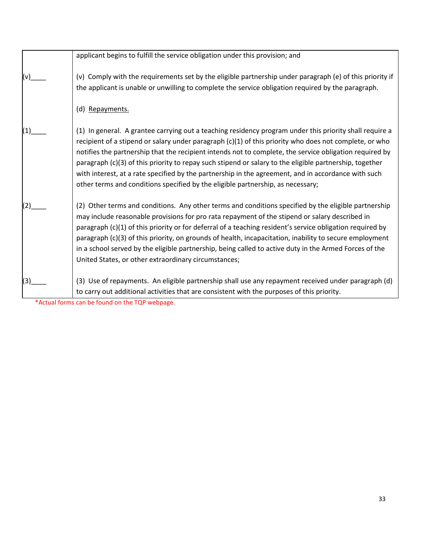|     | applicant begins to fulfill the service obligation under this provision; and                                                                                                                                                                                                                                                                                                                                                                                                                                                                                                                                                      |
|-----|-----------------------------------------------------------------------------------------------------------------------------------------------------------------------------------------------------------------------------------------------------------------------------------------------------------------------------------------------------------------------------------------------------------------------------------------------------------------------------------------------------------------------------------------------------------------------------------------------------------------------------------|
|     | (v) Comply with the requirements set by the eligible partnership under paragraph (e) of this priority if<br>the applicant is unable or unwilling to complete the service obligation required by the paragraph.                                                                                                                                                                                                                                                                                                                                                                                                                    |
|     | (d) Repayments.                                                                                                                                                                                                                                                                                                                                                                                                                                                                                                                                                                                                                   |
|     | (1) In general. A grantee carrying out a teaching residency program under this priority shall require a<br>recipient of a stipend or salary under paragraph (c)(1) of this priority who does not complete, or who<br>notifies the partnership that the recipient intends not to complete, the service obligation required by<br>paragraph (c)(3) of this priority to repay such stipend or salary to the eligible partnership, together<br>with interest, at a rate specified by the partnership in the agreement, and in accordance with such<br>other terms and conditions specified by the eligible partnership, as necessary; |
|     | (2) Other terms and conditions. Any other terms and conditions specified by the eligible partnership<br>may include reasonable provisions for pro rata repayment of the stipend or salary described in<br>paragraph (c)(1) of this priority or for deferral of a teaching resident's service obligation required by<br>paragraph (c)(3) of this priority, on grounds of health, incapacitation, inability to secure employment<br>in a school served by the eligible partnership, being called to active duty in the Armed Forces of the<br>United States, or other extraordinary circumstances;                                  |
| (3) | (3) Use of repayments. An eligible partnership shall use any repayment received under paragraph (d)<br>to carry out additional activities that are consistent with the purposes of this priority.                                                                                                                                                                                                                                                                                                                                                                                                                                 |

\*Actual forms can be found on the TQP webpage.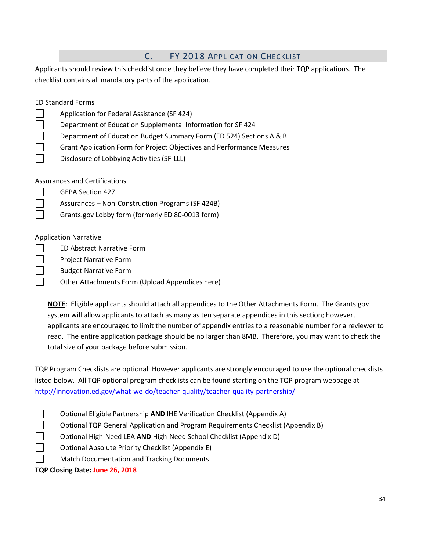| $\mathsf{C}$ .<br>FY 2018 APPLICATION CHECKLIST                                                           |
|-----------------------------------------------------------------------------------------------------------|
| Applicants should review this checklist once they believe they have completed their TQP applications. The |
| checklist contains all mandatory parts of the application.                                                |
|                                                                                                           |
| <b>ED Standard Forms</b>                                                                                  |
| Application for Federal Assistance (SF 424)                                                               |
| Department of Education Supplemental Information for SF 424                                               |
| Department of Education Budget Summary Form (ED 524) Sections A & B                                       |
| Grant Application Form for Project Objectives and Performance Measures                                    |
| Disclosure of Lobbying Activities (SF-LLL)                                                                |
|                                                                                                           |
| <b>Assurances and Certifications</b>                                                                      |
| <b>GEPA Section 427</b>                                                                                   |
| Assurances - Non-Construction Programs (SF 424B)                                                          |
| Grants.gov Lobby form (formerly ED 80-0013 form)                                                          |
|                                                                                                           |
| <b>Application Narrative</b>                                                                              |
| <b>ED Abstract Narrative Form</b>                                                                         |
| <b>Project Narrative Form</b>                                                                             |
| <b>Budget Narrative Form</b>                                                                              |
| Other Attachments Form (Upload Appendices here)                                                           |
|                                                                                                           |

**NOTE**: Eligible applicants should attach all appendices to the Other Attachments Form. The Grants.gov system will allow applicants to attach as many as ten separate appendices in this section; however, applicants are encouraged to limit the number of appendix entries to a reasonable number for a reviewer to read. The entire application package should be no larger than 8MB. Therefore, you may want to check the total size of your package before submission.

TQP Program Checklists are optional. However applicants are strongly encouraged to use the optional checklists listed below. All TQP optional program checklists can be found starting on the TQP program webpage at <http://innovation.ed.gov/what-we-do/teacher-quality/teacher-quality-partnership/>

Optional Eligible Partnership **AND** IHE Verification Checklist (Appendix A)

Optional TQP General Application and Program Requirements Checklist (Appendix B)

Optional High-Need LEA **AND** High-Need School Checklist (Appendix D)

Optional Absolute Priority Checklist (Appendix E)

Match Documentation and Tracking Documents

**TQP Closing Date: June 26, 2018**

 $\Box$  $\Box$  $\Box$  $\Box$  $\Box$